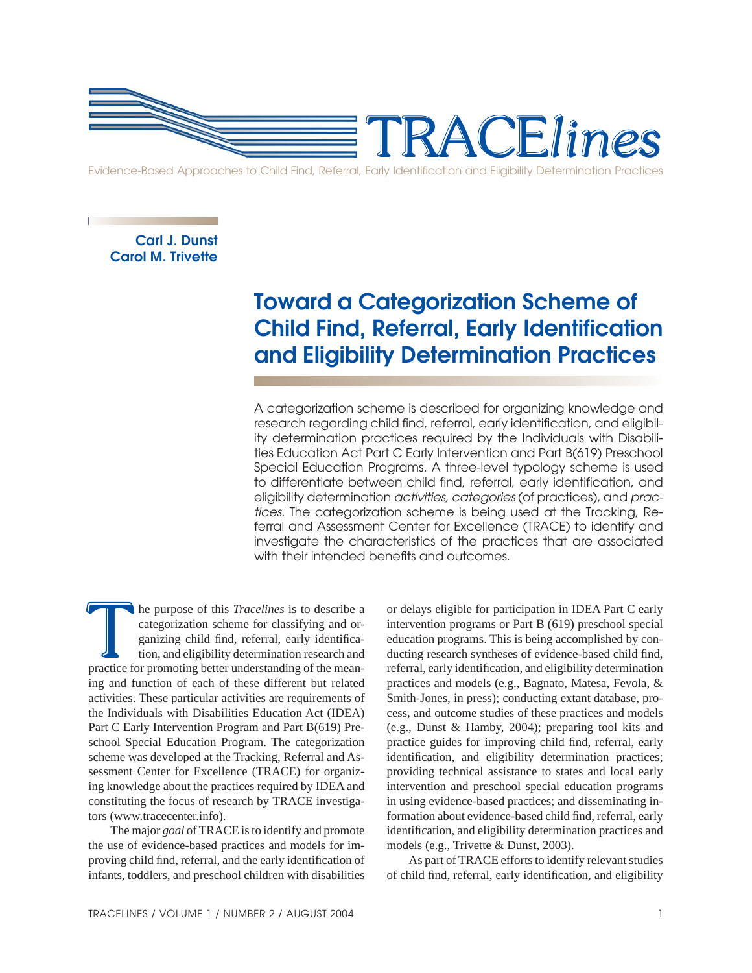

**Carl J. Dunst Carol M. Trivette**

# **Toward a Categorization Scheme of Child Find, Referral, Early Identification and Eligibility Determination Practices**

A categorization scheme is described for organizing knowledge and research regarding child find, referral, early identification, and eligibility determination practices required by the Individuals with Disabilities Education Act Part C Early Intervention and Part B(619) Preschool Special Education Programs. A three-level typology scheme is used to differentiate between child find, referral, early identification, and eligibility determination *activities, categories* (of practices), and *practices.* The categorization scheme is being used at the Tracking, Referral and Assessment Center for Excellence (TRACE) to identify and investigate the characteristics of the practices that are associated with their intended benefits and outcomes.

The purpose of this *Tracelines* is to describe a categorization scheme for classifying and organizing child find, referral, early identification, and eligibility determination research and practice for promoting better un The purpose of this *Tracelines* is to describe a categorization scheme for classifying and organizing child find, referral, early identification, and eligibility determination research and practice for promoting better un categorization scheme for classifying and organizing child find, referral, early identification, and eligibility determination research and ing and function of each of these different but related activities. These particular activities are requirements of the Individuals with Disabilities Education Act (IDEA) Part C Early Intervention Program and Part B(619) Preschool Special Education Program. The categorization scheme was developed at the Tracking, Referral and Assessment Center for Excellence (TRACE) for organizing knowledge about the practices required by IDEA and constituting the focus of research by TRACE investigators (www.tracecenter.info).

 The major *goal* of TRACE is to identify and promote the use of evidence-based practices and models for improving child find, referral, and the early identification of infants, toddlers, and preschool children with disabilities

or delays eligible for participation in IDEA Part C early intervention programs or Part B (619) preschool special education programs. This is being accomplished by conducting research syntheses of evidence-based child find, referral, early identification, and eligibility determination practices and models (e.g., Bagnato, Matesa, Fevola, & Smith-Jones, in press); conducting extant database, process, and outcome studies of these practices and models (e.g., Dunst & Hamby, 2004); preparing tool kits and practice guides for improving child find, referral, early identification, and eligibility determination practices; providing technical assistance to states and local early intervention and preschool special education programs in using evidence-based practices; and disseminating information about evidence-based child find, referral, early identification, and eligibility determination practices and models (e.g., Trivette & Dunst, 2003).

 As part of TRACE efforts to identify relevant studies of child find, referral, early identification, and eligibility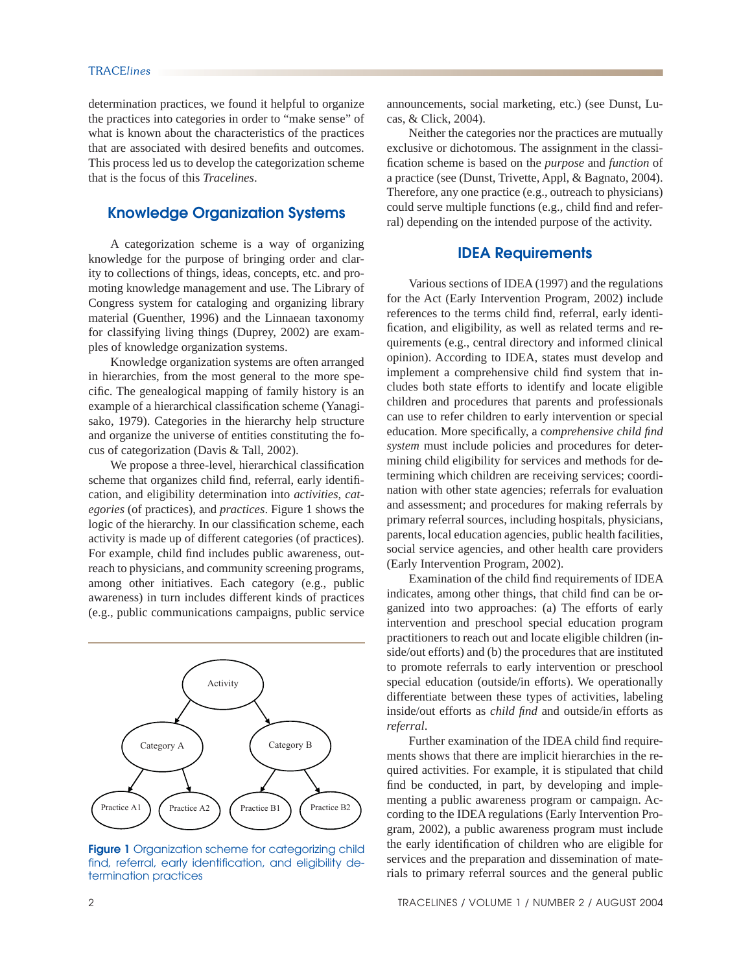determination practices, we found it helpful to organize the practices into categories in order to "make sense" of what is known about the characteristics of the practices that are associated with desired benefits and outcomes. This process led us to develop the categorization scheme that is the focus of this *Tracelines*.

# **Knowledge Organization Systems**

 A categorization scheme is a way of organizing knowledge for the purpose of bringing order and clarity to collections of things, ideas, concepts, etc. and promoting knowledge management and use. The Library of Congress system for cataloging and organizing library material (Guenther, 1996) and the Linnaean taxonomy for classifying living things (Duprey, 2002) are examples of knowledge organization systems.

 Knowledge organization systems are often arranged in hierarchies, from the most general to the more specific. The genealogical mapping of family history is an example of a hierarchical classification scheme (Yanagisako, 1979). Categories in the hierarchy help structure and organize the universe of entities constituting the focus of categorization (Davis & Tall, 2002).

We propose a three-level, hierarchical classification scheme that organizes child find, referral, early identification, and eligibility determination into *activities, categories* (of practices), and *practices*. Figure 1 shows the logic of the hierarchy. In our classification scheme, each activity is made up of different categories (of practices). For example, child find includes public awareness, outreach to physicians, and community screening programs, among other initiatives. Each category (e.g., public awareness) in turn includes different kinds of practices (e.g., public communications campaigns, public service



**Figure 1** Organization scheme for categorizing child find, referral, early identification, and eligibility determination practices

announcements, social marketing, etc.) (see Dunst, Lucas, & Click, 2004).

 Neither the categories nor the practices are mutually exclusive or dichotomous. The assignment in the classifi cation scheme is based on the *purpose* and *function* of a practice (see (Dunst, Trivette, Appl, & Bagnato, 2004). Therefore, any one practice (e.g., outreach to physicians) could serve multiple functions (e.g., child find and referral) depending on the intended purpose of the activity.

## **IDEA Requirements**

 Various sections of IDEA (1997) and the regulations for the Act (Early Intervention Program, 2002) include references to the terms child find, referral, early identification, and eligibility, as well as related terms and requirements (e.g., central directory and informed clinical opinion). According to IDEA, states must develop and implement a comprehensive child find system that includes both state efforts to identify and locate eligible children and procedures that parents and professionals can use to refer children to early intervention or special education. More specifically, a *comprehensive child find system* must include policies and procedures for determining child eligibility for services and methods for determining which children are receiving services; coordination with other state agencies; referrals for evaluation and assessment; and procedures for making referrals by primary referral sources, including hospitals, physicians, parents, local education agencies, public health facilities, social service agencies, and other health care providers (Early Intervention Program, 2002).

Examination of the child find requirements of IDEA indicates, among other things, that child find can be organized into two approaches: (a) The efforts of early intervention and preschool special education program practitioners to reach out and locate eligible children (inside/out efforts) and (b) the procedures that are instituted to promote referrals to early intervention or preschool special education (outside/in efforts). We operationally differentiate between these types of activities, labeling inside/out efforts as *child find* and outside/in efforts as *referral*.

Further examination of the IDEA child find requirements shows that there are implicit hierarchies in the required activities. For example, it is stipulated that child find be conducted, in part, by developing and implementing a public awareness program or campaign. According to the IDEA regulations (Early Intervention Program, 2002), a public awareness program must include the early identification of children who are eligible for services and the preparation and dissemination of materials to primary referral sources and the general public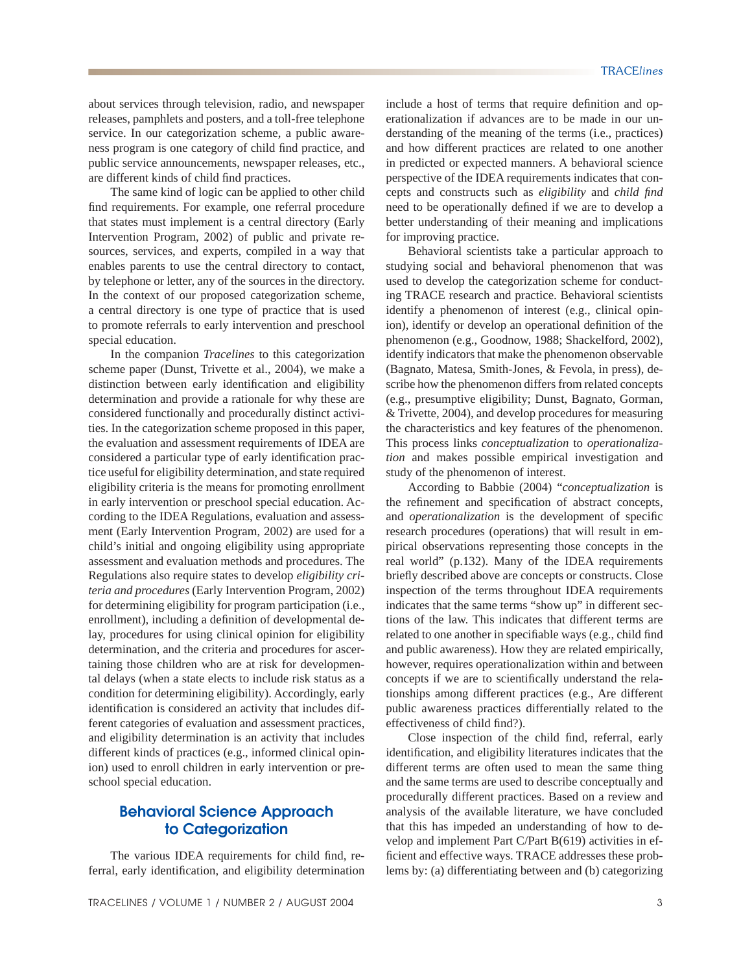about services through television, radio, and newspaper releases, pamphlets and posters, and a toll-free telephone service. In our categorization scheme, a public awareness program is one category of child find practice, and public service announcements, newspaper releases, etc., are different kinds of child find practices.

 The same kind of logic can be applied to other child find requirements. For example, one referral procedure that states must implement is a central directory (Early Intervention Program, 2002) of public and private resources, services, and experts, compiled in a way that enables parents to use the central directory to contact, by telephone or letter, any of the sources in the directory. In the context of our proposed categorization scheme, a central directory is one type of practice that is used to promote referrals to early intervention and preschool special education.

 In the companion *Tracelines* to this categorization scheme paper (Dunst, Trivette et al., 2004), we make a distinction between early identification and eligibility determination and provide a rationale for why these are considered functionally and procedurally distinct activities. In the categorization scheme proposed in this paper, the evaluation and assessment requirements of IDEA are considered a particular type of early identification practice useful for eligibility determination, and state required eligibility criteria is the means for promoting enrollment in early intervention or preschool special education. According to the IDEA Regulations, evaluation and assessment (Early Intervention Program, 2002) are used for a child's initial and ongoing eligibility using appropriate assessment and evaluation methods and procedures. The Regulations also require states to develop *eligibility criteria and procedures* (Early Intervention Program, 2002) for determining eligibility for program participation (i.e., enrollment), including a definition of developmental delay, procedures for using clinical opinion for eligibility determination, and the criteria and procedures for ascertaining those children who are at risk for developmental delays (when a state elects to include risk status as a condition for determining eligibility). Accordingly, early identification is considered an activity that includes different categories of evaluation and assessment practices, and eligibility determination is an activity that includes different kinds of practices (e.g., informed clinical opinion) used to enroll children in early intervention or preschool special education.

# **Behavioral Science Approach to Categorization**

The various IDEA requirements for child find, referral, early identification, and eligibility determination include a host of terms that require definition and operationalization if advances are to be made in our understanding of the meaning of the terms (i.e., practices) and how different practices are related to one another in predicted or expected manners. A behavioral science perspective of the IDEA requirements indicates that concepts and constructs such as *eligibility* and *child find* need to be operationally defined if we are to develop a better understanding of their meaning and implications for improving practice.

 Behavioral scientists take a particular approach to studying social and behavioral phenomenon that was used to develop the categorization scheme for conducting TRACE research and practice. Behavioral scientists identify a phenomenon of interest (e.g., clinical opinion), identify or develop an operational definition of the phenomenon (e.g., Goodnow, 1988; Shackelford, 2002), identify indicators that make the phenomenon observable (Bagnato, Matesa, Smith-Jones, & Fevola, in press), describe how the phenomenon differs from related concepts (e.g., presumptive eligibility; Dunst, Bagnato, Gorman, & Trivette, 2004), and develop procedures for measuring the characteristics and key features of the phenomenon. This process links *conceptualization* to *operationalization* and makes possible empirical investigation and study of the phenomenon of interest.

 According to Babbie (2004) "*conceptualization* is the refinement and specification of abstract concepts, and *operationalization* is the development of specific research procedures (operations) that will result in empirical observations representing those concepts in the real world" (p.132). Many of the IDEA requirements briefly described above are concepts or constructs. Close inspection of the terms throughout IDEA requirements indicates that the same terms "show up" in different sections of the law. This indicates that different terms are related to one another in specifiable ways (e.g., child find and public awareness). How they are related empirically, however, requires operationalization within and between concepts if we are to scientifically understand the relationships among different practices (e.g., Are different public awareness practices differentially related to the effectiveness of child find?).

Close inspection of the child find, referral, early identification, and eligibility literatures indicates that the different terms are often used to mean the same thing and the same terms are used to describe conceptually and procedurally different practices. Based on a review and analysis of the available literature, we have concluded that this has impeded an understanding of how to develop and implement Part C/Part B(619) activities in efficient and effective ways. TRACE addresses these problems by: (a) differentiating between and (b) categorizing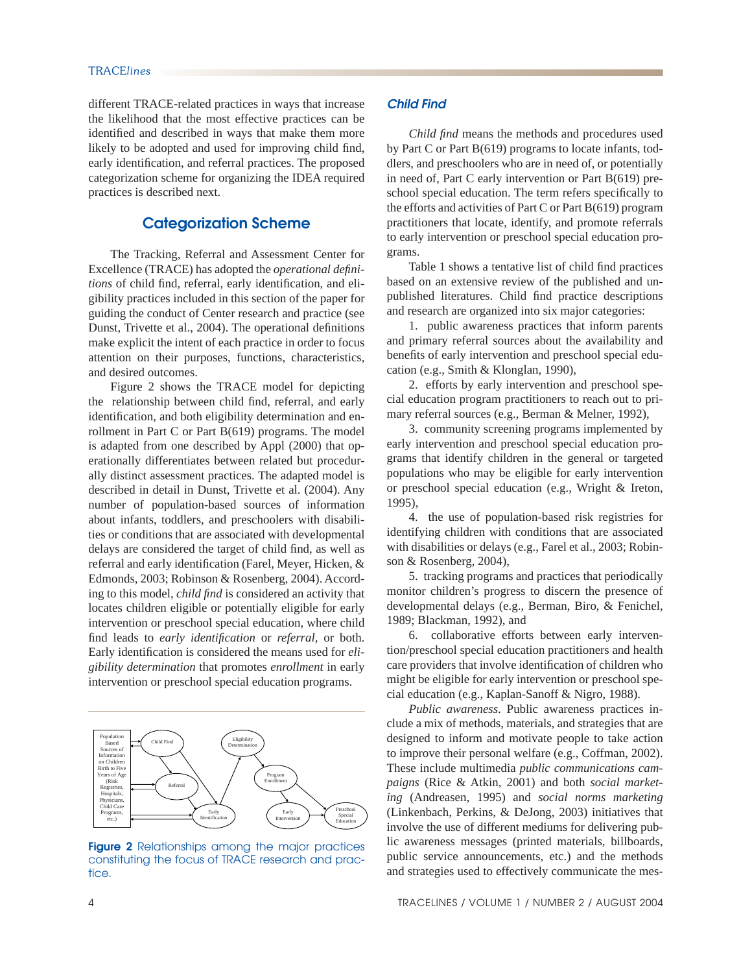different TRACE-related practices in ways that increase the likelihood that the most effective practices can be identified and described in ways that make them more likely to be adopted and used for improving child find, early identification, and referral practices. The proposed categorization scheme for organizing the IDEA required practices is described next.

# **Categorization Scheme**

 The Tracking, Referral and Assessment Center for Excellence (TRACE) has adopted the *operational defini*tions of child find, referral, early identification, and eligibility practices included in this section of the paper for guiding the conduct of Center research and practice (see Dunst, Trivette et al., 2004). The operational definitions make explicit the intent of each practice in order to focus attention on their purposes, functions, characteristics, and desired outcomes.

 Figure 2 shows the TRACE model for depicting the relationship between child find, referral, and early identification, and both eligibility determination and enrollment in Part C or Part B(619) programs. The model is adapted from one described by Appl (2000) that operationally differentiates between related but procedurally distinct assessment practices. The adapted model is described in detail in Dunst, Trivette et al. (2004). Any number of population-based sources of information about infants, toddlers, and preschoolers with disabilities or conditions that are associated with developmental delays are considered the target of child find, as well as referral and early identification (Farel, Meyer, Hicken, & Edmonds, 2003; Robinson & Rosenberg, 2004). According to this model, *child find* is considered an activity that locates children eligible or potentially eligible for early intervention or preschool special education, where child find leads to *early identification* or *referral*, or both. Early identification is considered the means used for *eligibility determination* that promotes *enrollment* in early intervention or preschool special education programs.



**Figure 2** Relationships among the major practices constituting the focus of TRACE research and practice.

## *Child Find*

*Child find* means the methods and procedures used by Part C or Part B(619) programs to locate infants, toddlers, and preschoolers who are in need of, or potentially in need of, Part C early intervention or Part B(619) preschool special education. The term refers specifically to the efforts and activities of Part C or Part B(619) program practitioners that locate, identify, and promote referrals to early intervention or preschool special education programs.

Table 1 shows a tentative list of child find practices based on an extensive review of the published and unpublished literatures. Child find practice descriptions and research are organized into six major categories:

 1. public awareness practices that inform parents and primary referral sources about the availability and benefits of early intervention and preschool special education (e.g., Smith & Klonglan, 1990),

 2. efforts by early intervention and preschool special education program practitioners to reach out to primary referral sources (e.g., Berman & Melner, 1992),

 3. community screening programs implemented by early intervention and preschool special education programs that identify children in the general or targeted populations who may be eligible for early intervention or preschool special education (e.g., Wright & Ireton, 1995),

 4. the use of population-based risk registries for identifying children with conditions that are associated with disabilities or delays (e.g., Farel et al., 2003; Robinson & Rosenberg, 2004),

 5. tracking programs and practices that periodically monitor children's progress to discern the presence of developmental delays (e.g., Berman, Biro, & Fenichel, 1989; Blackman, 1992), and

 6. collaborative efforts between early intervention/preschool special education practitioners and health care providers that involve identification of children who might be eligible for early intervention or preschool special education (e.g., Kaplan-Sanoff & Nigro, 1988).

*Public awareness*. Public awareness practices include a mix of methods, materials, and strategies that are designed to inform and motivate people to take action to improve their personal welfare (e.g., Coffman, 2002). These include multimedia *public communications campaigns* (Rice & Atkin, 2001) and both *social marketing* (Andreasen, 1995) and *social norms marketing* (Linkenbach, Perkins, & DeJong, 2003) initiatives that involve the use of different mediums for delivering public awareness messages (printed materials, billboards, public service announcements, etc.) and the methods and strategies used to effectively communicate the mes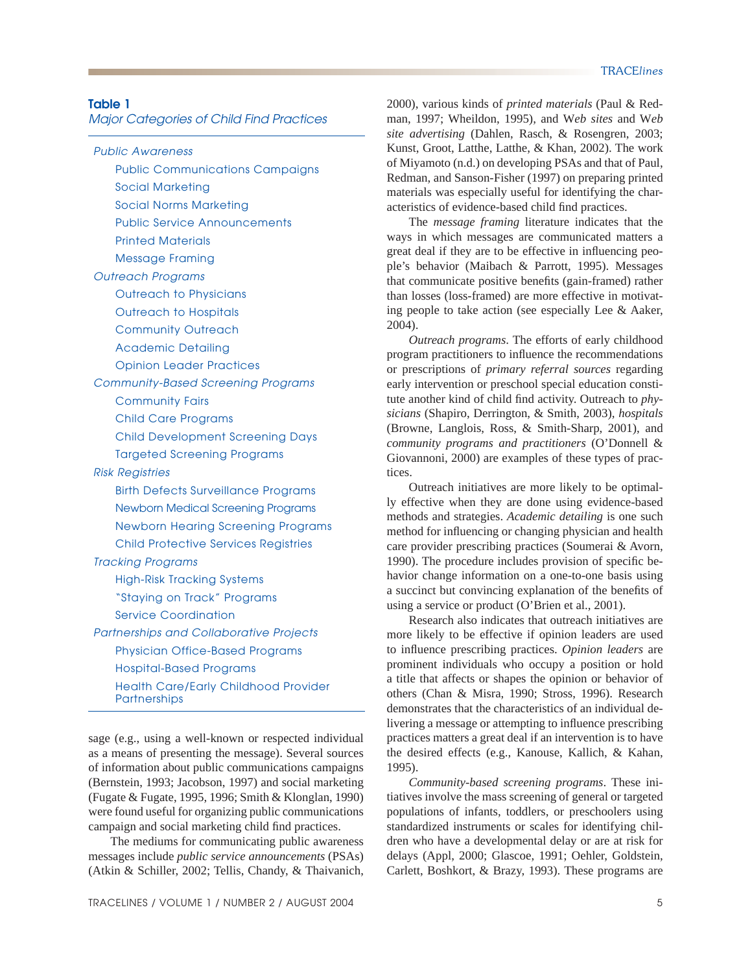*Major Categories of Child Find Practices*

*Public Awareness*

Public Communications Campaigns

Social Marketing

Social Norms Marketing

Public Service Announcements

Printed Materials

Message Framing

*Outreach Programs*

Outreach to Physicians

Outreach to Hospitals

Community Outreach

Academic Detailing

Opinion Leader Practices

*Community-Based Screening Programs*

Community Fairs

Child Care Programs

Child Development Screening Days

Targeted Screening Programs

*Risk Registries*

Birth Defects Surveillance Programs Newborn Medical Screening Programs Newborn Hearing Screening Programs Child Protective Services Registries *Tracking Programs* High-Risk Tracking Systems

"Staying on Track" Programs

Service Coordination

*Partnerships and Collaborative Projects* Physician Office-Based Programs Hospital-Based Programs Health Care/Early Childhood Provider

**Partnerships** 

sage (e.g., using a well-known or respected individual as a means of presenting the message). Several sources of information about public communications campaigns (Bernstein, 1993; Jacobson, 1997) and social marketing (Fugate & Fugate, 1995, 1996; Smith & Klonglan, 1990) were found useful for organizing public communications campaign and social marketing child find practices.

 The mediums for communicating public awareness messages include *public service announcements* (PSAs) (Atkin & Schiller, 2002; Tellis, Chandy, & Thaivanich, 2000), various kinds of *printed materials* (Paul & Redman, 1997; Wheildon, 1995), and W*eb sites* and W*eb site advertising* (Dahlen, Rasch, & Rosengren, 2003; Kunst, Groot, Latthe, Latthe, & Khan, 2002). The work of Miyamoto (n.d.) on developing PSAs and that of Paul, Redman, and Sanson-Fisher (1997) on preparing printed materials was especially useful for identifying the characteristics of evidence-based child find practices.

 The *message framing* literature indicates that the ways in which messages are communicated matters a great deal if they are to be effective in influencing people's behavior (Maibach & Parrott, 1995). Messages that communicate positive benefits (gain-framed) rather than losses (loss-framed) are more effective in motivating people to take action (see especially Lee & Aaker, 2004).

*Outreach programs*. The efforts of early childhood program practitioners to influence the recommendations or prescriptions of *primary referral sources* regarding early intervention or preschool special education constitute another kind of child find activity. Outreach to *physicians* (Shapiro, Derrington, & Smith, 2003), *hospitals* (Browne, Langlois, Ross, & Smith-Sharp, 2001), and *community programs and practitioners* (O'Donnell & Giovannoni, 2000) are examples of these types of practices.

 Outreach initiatives are more likely to be optimally effective when they are done using evidence-based methods and strategies. *Academic detailing* is one such method for influencing or changing physician and health care provider prescribing practices (Soumerai & Avorn, 1990). The procedure includes provision of specific behavior change information on a one-to-one basis using a succinct but convincing explanation of the benefits of using a service or product (O'Brien et al., 2001).

 Research also indicates that outreach initiatives are more likely to be effective if opinion leaders are used to influence prescribing practices. *Opinion leaders* are prominent individuals who occupy a position or hold a title that affects or shapes the opinion or behavior of others (Chan & Misra, 1990; Stross, 1996). Research demonstrates that the characteristics of an individual delivering a message or attempting to influence prescribing practices matters a great deal if an intervention is to have the desired effects (e.g., Kanouse, Kallich, & Kahan, 1995).

*Community-based screening programs*. These initiatives involve the mass screening of general or targeted populations of infants, toddlers, or preschoolers using standardized instruments or scales for identifying children who have a developmental delay or are at risk for delays (Appl, 2000; Glascoe, 1991; Oehler, Goldstein, Carlett, Boshkort, & Brazy, 1993). These programs are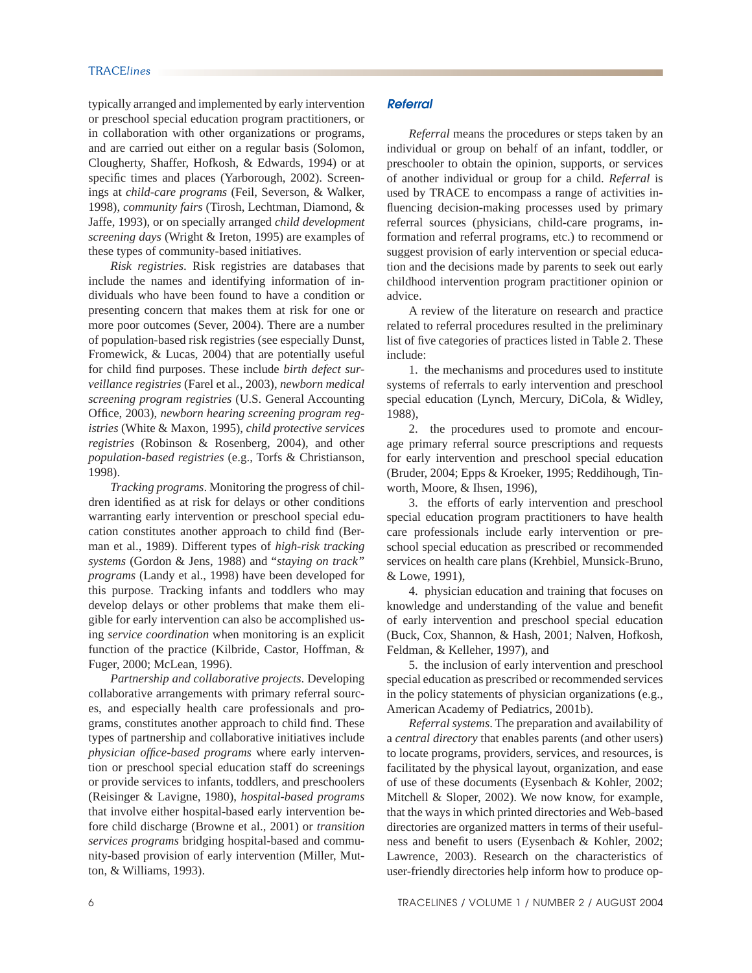typically arranged and implemented by early intervention or preschool special education program practitioners, or in collaboration with other organizations or programs, and are carried out either on a regular basis (Solomon, Clougherty, Shaffer, Hofkosh, & Edwards, 1994) or at specific times and places (Yarborough, 2002). Screenings at *child-care programs* (Feil, Severson, & Walker, 1998), *community fairs* (Tirosh, Lechtman, Diamond, & Jaffe, 1993), or on specially arranged *child development screening days* (Wright & Ireton, 1995) are examples of these types of community-based initiatives.

*Risk registries*. Risk registries are databases that include the names and identifying information of individuals who have been found to have a condition or presenting concern that makes them at risk for one or more poor outcomes (Sever, 2004). There are a number of population-based risk registries (see especially Dunst, Fromewick, & Lucas, 2004) that are potentially useful for child find purposes. These include *birth defect surveillance registries* (Farel et al., 2003), *newborn medical screening program registries* (U.S. General Accounting Office, 2003), *newborn hearing screening program registries* (White & Maxon, 1995), *child protective services registries* (Robinson & Rosenberg, 2004), and other *population-based registries* (e.g., Torfs & Christianson, 1998).

*Tracking programs*. Monitoring the progress of children identified as at risk for delays or other conditions warranting early intervention or preschool special education constitutes another approach to child find (Berman et al., 1989). Different types of *high-risk tracking systems* (Gordon & Jens, 1988) and "*staying on track" programs* (Landy et al., 1998) have been developed for this purpose. Tracking infants and toddlers who may develop delays or other problems that make them eligible for early intervention can also be accomplished using *service coordination* when monitoring is an explicit function of the practice (Kilbride, Castor, Hoffman, & Fuger, 2000; McLean, 1996).

*Partnership and collaborative projects*. Developing collaborative arrangements with primary referral sources, and especially health care professionals and programs, constitutes another approach to child find. These types of partnership and collaborative initiatives include *physician office-based programs* where early intervention or preschool special education staff do screenings or provide services to infants, toddlers, and preschoolers (Reisinger & Lavigne, 1980), *hospital-based programs* that involve either hospital-based early intervention before child discharge (Browne et al., 2001) or *transition services programs* bridging hospital-based and community-based provision of early intervention (Miller, Mutton, & Williams, 1993).

## *Referral*

*Referral* means the procedures or steps taken by an individual or group on behalf of an infant, toddler, or preschooler to obtain the opinion, supports, or services of another individual or group for a child. *Referral* is used by TRACE to encompass a range of activities influencing decision-making processes used by primary referral sources (physicians, child-care programs, information and referral programs, etc.) to recommend or suggest provision of early intervention or special education and the decisions made by parents to seek out early childhood intervention program practitioner opinion or advice.

 A review of the literature on research and practice related to referral procedures resulted in the preliminary list of five categories of practices listed in Table 2. These include:

 1. the mechanisms and procedures used to institute systems of referrals to early intervention and preschool special education (Lynch, Mercury, DiCola, & Widley, 1988),

 2. the procedures used to promote and encourage primary referral source prescriptions and requests for early intervention and preschool special education (Bruder, 2004; Epps & Kroeker, 1995; Reddihough, Tinworth, Moore, & Ihsen, 1996),

 3. the efforts of early intervention and preschool special education program practitioners to have health care professionals include early intervention or preschool special education as prescribed or recommended services on health care plans (Krehbiel, Munsick-Bruno, & Lowe, 1991),

 4. physician education and training that focuses on knowledge and understanding of the value and benefit of early intervention and preschool special education (Buck, Cox, Shannon, & Hash, 2001; Nalven, Hofkosh, Feldman, & Kelleher, 1997), and

 5. the inclusion of early intervention and preschool special education as prescribed or recommended services in the policy statements of physician organizations (e.g., American Academy of Pediatrics, 2001b).

*Referral systems*. The preparation and availability of a *central directory* that enables parents (and other users) to locate programs, providers, services, and resources, is facilitated by the physical layout, organization, and ease of use of these documents (Eysenbach & Kohler, 2002; Mitchell & Sloper, 2002). We now know, for example, that the ways in which printed directories and Web-based directories are organized matters in terms of their usefulness and benefit to users (Eysenbach & Kohler, 2002; Lawrence, 2003). Research on the characteristics of user-friendly directories help inform how to produce op-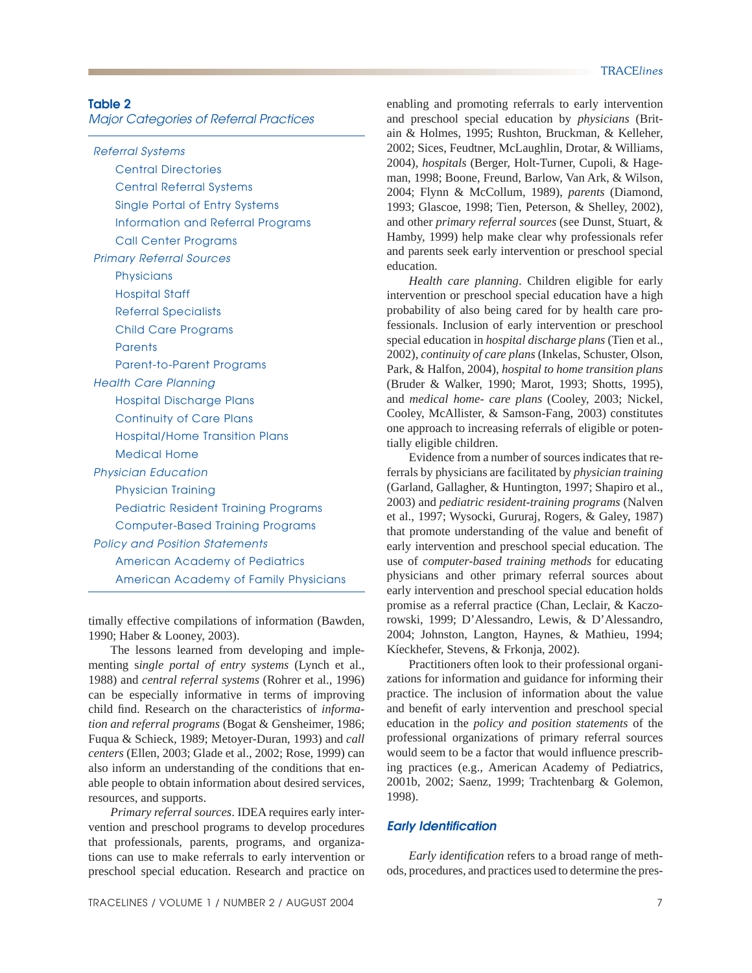## **Table 2**

*Major Categories of Referral Practices*

*Referral Systems* Central Directories Central Referral Systems Single Portal of Entry Systems Information and Referral Programs Call Center Programs *Primary Referral Sources* **Physicians** Hospital Staff Referral Specialists Child Care Programs **Parents** Parent-to-Parent Programs *Health Care Planning* Hospital Discharge Plans Continuity of Care Plans Hospital/Home Transition Plans Medical Home *Physician Education* Physician Training Pediatric Resident Training Programs Computer-Based Training Programs *Policy and Position Statements* American Academy of Pediatrics American Academy of Family Physicians

timally effective compilations of information (Bawden, 1990; Haber & Looney, 2003).

 The lessons learned from developing and implementing s*ingle portal of entry systems* (Lynch et al., 1988) and *central referral systems* (Rohrer et al., 1996) can be especially informative in terms of improving child find. Research on the characteristics of *information and referral programs* (Bogat & Gensheimer, 1986; Fuqua & Schieck, 1989; Metoyer-Duran, 1993) and *call centers* (Ellen, 2003; Glade et al., 2002; Rose, 1999) can also inform an understanding of the conditions that enable people to obtain information about desired services, resources, and supports.

*Primary referral sources*. IDEA requires early intervention and preschool programs to develop procedures that professionals, parents, programs, and organizations can use to make referrals to early intervention or preschool special education. Research and practice on enabling and promoting referrals to early intervention and preschool special education by *physicians* (Britain & Holmes, 1995; Rushton, Bruckman, & Kelleher, 2002; Sices, Feudtner, McLaughlin, Drotar, & Williams, 2004), *hospitals* (Berger, Holt-Turner, Cupoli, & Hageman, 1998; Boone, Freund, Barlow, Van Ark, & Wilson, 2004; Flynn & McCollum, 1989), *parents* (Diamond, 1993; Glascoe, 1998; Tien, Peterson, & Shelley, 2002), and other *primary referral sources* (see Dunst, Stuart, & Hamby, 1999) help make clear why professionals refer and parents seek early intervention or preschool special education.

*Health care planning*. Children eligible for early intervention or preschool special education have a high probability of also being cared for by health care professionals. Inclusion of early intervention or preschool special education in *hospital discharge plans* (Tien et al., 2002), *continuity of care plans* (Inkelas, Schuster, Olson, Park, & Halfon, 2004), *hospital to home transition plans* (Bruder & Walker, 1990; Marot, 1993; Shotts, 1995), and *medical home- care plans* (Cooley, 2003; Nickel, Cooley, McAllister, & Samson-Fang, 2003) constitutes one approach to increasing referrals of eligible or potentially eligible children.

 Evidence from a number of sources indicates that referrals by physicians are facilitated by *physician training* (Garland, Gallagher, & Huntington, 1997; Shapiro et al., 2003) and *pediatric resident-training programs* (Nalven et al., 1997; Wysocki, Gururaj, Rogers, & Galey, 1987) that promote understanding of the value and benefit of early intervention and preschool special education. The use of *computer-based training methods* for educating physicians and other primary referral sources about early intervention and preschool special education holds promise as a referral practice (Chan, Leclair, & Kaczorowski, 1999; D'Alessandro, Lewis, & D'Alessandro, 2004; Johnston, Langton, Haynes, & Mathieu, 1994; Kíeckhefer, Stevens, & Frkonja, 2002).

 Practitioners often look to their professional organizations for information and guidance for informing their practice. The inclusion of information about the value and benefit of early intervention and preschool special education in the *policy and position statements* of the professional organizations of primary referral sources would seem to be a factor that would influence prescribing practices (e.g., American Academy of Pediatrics, 2001b, 2002; Saenz, 1999; Trachtenbarg & Golemon, 1998).

#### *Early Identification*

*Early identification* refers to a broad range of methods, procedures, and practices used to determine the pres-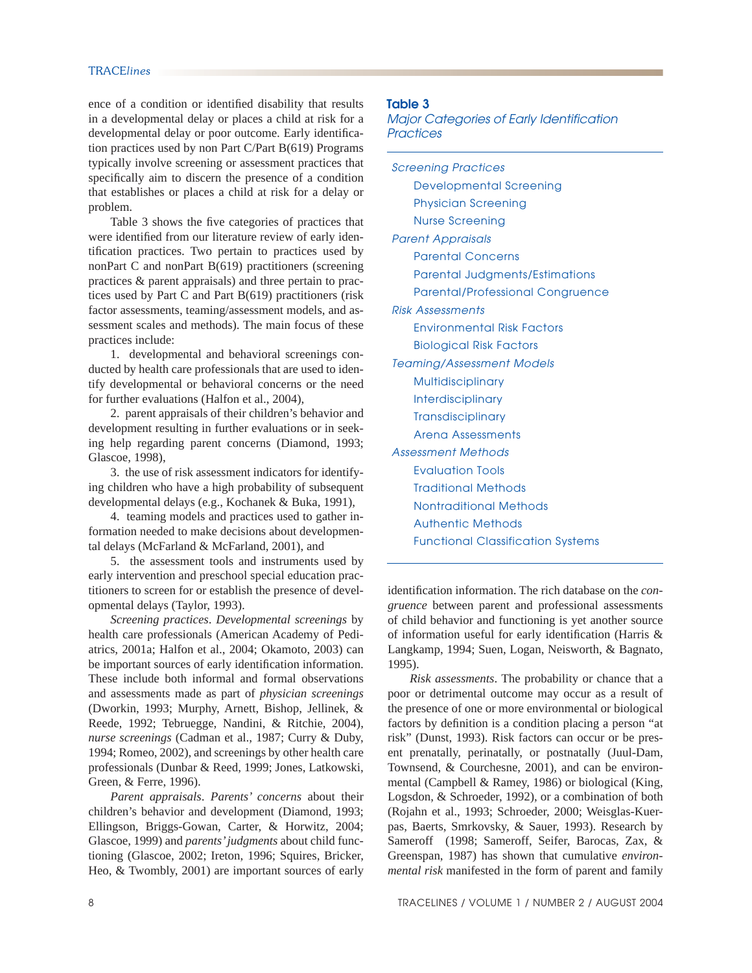ence of a condition or identified disability that results in a developmental delay or places a child at risk for a developmental delay or poor outcome. Early identification practices used by non Part C/Part B(619) Programs typically involve screening or assessment practices that specifically aim to discern the presence of a condition that establishes or places a child at risk for a delay or problem.

Table 3 shows the five categories of practices that were identified from our literature review of early identification practices. Two pertain to practices used by nonPart C and nonPart B(619) practitioners (screening practices & parent appraisals) and three pertain to practices used by Part C and Part B(619) practitioners (risk factor assessments, teaming/assessment models, and assessment scales and methods). The main focus of these practices include:

 1. developmental and behavioral screenings conducted by health care professionals that are used to identify developmental or behavioral concerns or the need for further evaluations (Halfon et al., 2004),

 2. parent appraisals of their children's behavior and development resulting in further evaluations or in seeking help regarding parent concerns (Diamond, 1993; Glascoe, 1998),

 3. the use of risk assessment indicators for identifying children who have a high probability of subsequent developmental delays (e.g., Kochanek & Buka, 1991),

 4. teaming models and practices used to gather information needed to make decisions about developmental delays (McFarland & McFarland, 2001), and

 5. the assessment tools and instruments used by early intervention and preschool special education practitioners to screen for or establish the presence of developmental delays (Taylor, 1993).

*Screening practices*. *Developmental screenings* by health care professionals (American Academy of Pediatrics, 2001a; Halfon et al., 2004; Okamoto, 2003) can be important sources of early identification information. These include both informal and formal observations and assessments made as part of *physician screenings* (Dworkin, 1993; Murphy, Arnett, Bishop, Jellinek, & Reede, 1992; Tebruegge, Nandini, & Ritchie, 2004), *nurse screenings* (Cadman et al., 1987; Curry & Duby, 1994; Romeo, 2002), and screenings by other health care professionals (Dunbar & Reed, 1999; Jones, Latkowski, Green, & Ferre, 1996).

*Parent appraisals*. *Parents' concerns* about their children's behavior and development (Diamond, 1993; Ellingson, Briggs-Gowan, Carter, & Horwitz, 2004; Glascoe, 1999) and *parents' judgments* about child functioning (Glascoe, 2002; Ireton, 1996; Squires, Bricker, Heo, & Twombly, 2001) are important sources of early

#### **Table 3**

*Major Categories of Early Identification Practices*

*Screening Practices* Developmental Screening Physician Screening Nurse Screening *Parent Appraisals* Parental Concerns Parental Judgments/Estimations Parental/Professional Congruence *Risk Assessments* Environmental Risk Factors Biological Risk Factors *Teaming/Assessment Models* **Multidisciplinary** Interdisciplinary **Transdisciplinary** Arena Assessments *Assessment Methods* Evaluation Tools Traditional Methods Nontraditional Methods Authentic Methods Functional Classification Systems

identification information. The rich database on the *congruence* between parent and professional assessments of child behavior and functioning is yet another source of information useful for early identification (Harris  $\&$ Langkamp, 1994; Suen, Logan, Neisworth, & Bagnato, 1995).

*Risk assessments*. The probability or chance that a poor or detrimental outcome may occur as a result of the presence of one or more environmental or biological factors by definition is a condition placing a person "at risk" (Dunst, 1993). Risk factors can occur or be present prenatally, perinatally, or postnatally (Juul-Dam, Townsend, & Courchesne, 2001), and can be environmental (Campbell & Ramey, 1986) or biological (King, Logsdon, & Schroeder, 1992), or a combination of both (Rojahn et al., 1993; Schroeder, 2000; Weisglas-Kuerpas, Baerts, Smrkovsky, & Sauer, 1993). Research by Sameroff (1998; Sameroff, Seifer, Barocas, Zax, & Greenspan, 1987) has shown that cumulative *environmental risk* manifested in the form of parent and family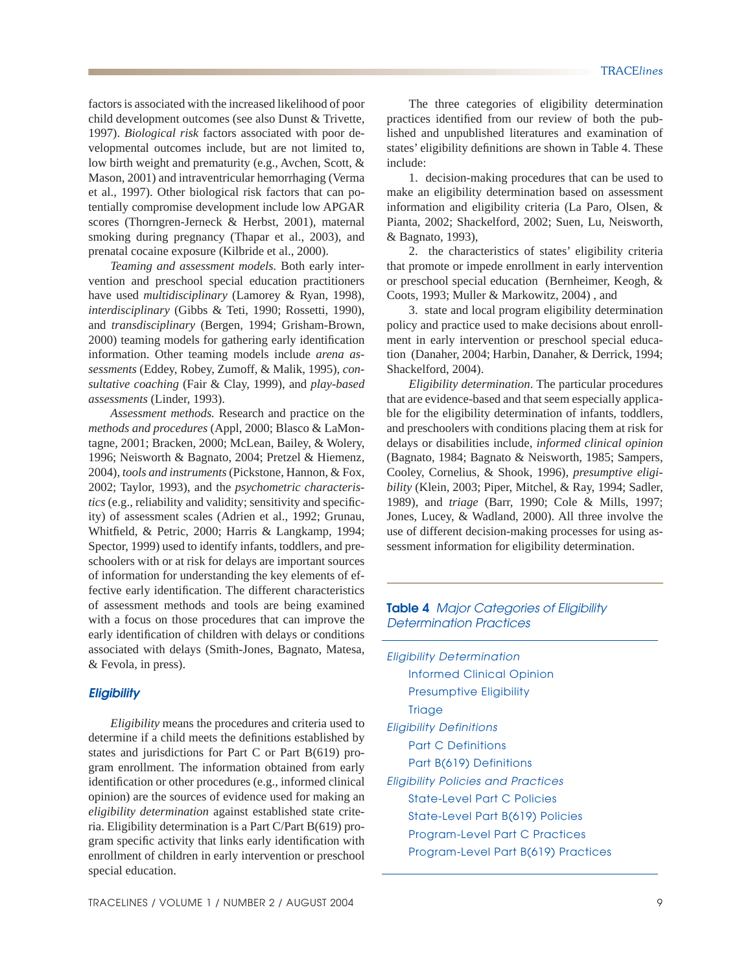factors is associated with the increased likelihood of poor child development outcomes (see also Dunst & Trivette, 1997). *Biological risk* factors associated with poor developmental outcomes include, but are not limited to, low birth weight and prematurity (e.g., Avchen, Scott, & Mason, 2001) and intraventricular hemorrhaging (Verma et al., 1997). Other biological risk factors that can potentially compromise development include low APGAR scores (Thorngren-Jerneck & Herbst, 2001), maternal smoking during pregnancy (Thapar et al., 2003), and prenatal cocaine exposure (Kilbride et al., 2000).

*Teaming and assessment models.* Both early intervention and preschool special education practitioners have used *multidisciplinary* (Lamorey & Ryan, 1998), *interdisciplinary* (Gibbs & Teti, 1990; Rossetti, 1990), and *transdisciplinary* (Bergen, 1994; Grisham-Brown, 2000) teaming models for gathering early identification information. Other teaming models include *arena assessments* (Eddey, Robey, Zumoff, & Malik, 1995), *consultative coaching* (Fair & Clay, 1999), and *play-based assessments* (Linder, 1993).

 *Assessment methods.* Research and practice on the *methods and procedures* (Appl, 2000; Blasco & LaMontagne, 2001; Bracken, 2000; McLean, Bailey, & Wolery, 1996; Neisworth & Bagnato, 2004; Pretzel & Hiemenz, 2004), *tools and instruments* (Pickstone, Hannon, & Fox, 2002; Taylor, 1993), and the *psychometric characteristics* (e.g., reliability and validity; sensitivity and specificity) of assessment scales (Adrien et al., 1992; Grunau, Whitfield, & Petric, 2000; Harris & Langkamp, 1994; Spector, 1999) used to identify infants, toddlers, and preschoolers with or at risk for delays are important sources of information for understanding the key elements of effective early identification. The different characteristics of assessment methods and tools are being examined with a focus on those procedures that can improve the early identification of children with delays or conditions associated with delays (Smith-Jones, Bagnato, Matesa, & Fevola, in press).

#### *Eligibility*

 *Eligibility* means the procedures and criteria used to determine if a child meets the definitions established by states and jurisdictions for Part C or Part B(619) program enrollment. The information obtained from early identification or other procedures (e.g., informed clinical opinion) are the sources of evidence used for making an *eligibility determination* against established state criteria. Eligibility determination is a Part C/Part B(619) program specific activity that links early identification with enrollment of children in early intervention or preschool special education.

 The three categories of eligibility determination practices identified from our review of both the published and unpublished literatures and examination of states' eligibility definitions are shown in Table 4. These include:

 1. decision-making procedures that can be used to make an eligibility determination based on assessment information and eligibility criteria (La Paro, Olsen, & Pianta, 2002; Shackelford, 2002; Suen, Lu, Neisworth, & Bagnato, 1993),

 2. the characteristics of states' eligibility criteria that promote or impede enrollment in early intervention or preschool special education (Bernheimer, Keogh, & Coots, 1993; Muller & Markowitz, 2004) , and

 3. state and local program eligibility determination policy and practice used to make decisions about enrollment in early intervention or preschool special education (Danaher, 2004; Harbin, Danaher, & Derrick, 1994; Shackelford, 2004).

*Eligibility determination*. The particular procedures that are evidence-based and that seem especially applicable for the eligibility determination of infants, toddlers, and preschoolers with conditions placing them at risk for delays or disabilities include, *informed clinical opinion*  (Bagnato, 1984; Bagnato & Neisworth, 1985; Sampers, Cooley, Cornelius, & Shook, 1996), *presumptive eligibility* (Klein, 2003; Piper, Mitchel, & Ray, 1994; Sadler, 1989), and *triage* (Barr, 1990; Cole & Mills, 1997; Jones, Lucey, & Wadland, 2000). All three involve the use of different decision-making processes for using assessment information for eligibility determination.

### **Table 4** *Major Categories of Eligibility Determination Practices*

*Eligibility Determination* Informed Clinical Opinion Presumptive Eligibility **Triage** *Eligibility Definitions* Part C Definitions Part B(619) Definitions *Eligibility Policies and Practices* State-Level Part C Policies State-Level Part B(619) Policies Program-Level Part C Practices Program-Level Part B(619) Practices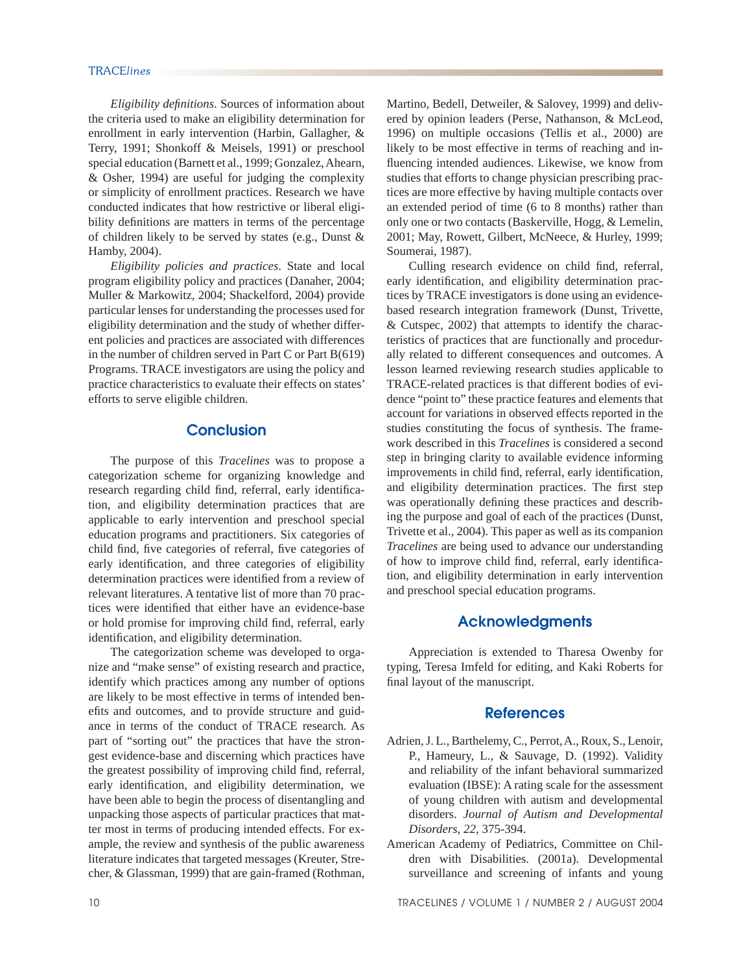*Eligibility definitions*. Sources of information about the criteria used to make an eligibility determination for enrollment in early intervention (Harbin, Gallagher, & Terry, 1991; Shonkoff & Meisels, 1991) or preschool special education (Barnett et al., 1999; Gonzalez, Ahearn, & Osher, 1994) are useful for judging the complexity or simplicity of enrollment practices. Research we have conducted indicates that how restrictive or liberal eligibility definitions are matters in terms of the percentage of children likely to be served by states (e.g., Dunst & Hamby, 2004).

*Eligibility policies and practices*. State and local program eligibility policy and practices (Danaher, 2004; Muller & Markowitz, 2004; Shackelford, 2004) provide particular lenses for understanding the processes used for eligibility determination and the study of whether different policies and practices are associated with differences in the number of children served in Part C or Part B(619) Programs. TRACE investigators are using the policy and practice characteristics to evaluate their effects on states' efforts to serve eligible children.

## **Conclusion**

 The purpose of this *Tracelines* was to propose a categorization scheme for organizing knowledge and research regarding child find, referral, early identification, and eligibility determination practices that are applicable to early intervention and preschool special education programs and practitioners. Six categories of child find, five categories of referral, five categories of early identification, and three categories of eligibility determination practices were identified from a review of relevant literatures. A tentative list of more than 70 practices were identified that either have an evidence-base or hold promise for improving child find, referral, early identification, and eligibility determination.

 The categorization scheme was developed to organize and "make sense" of existing research and practice, identify which practices among any number of options are likely to be most effective in terms of intended benefits and outcomes, and to provide structure and guidance in terms of the conduct of TRACE research. As part of "sorting out" the practices that have the strongest evidence-base and discerning which practices have the greatest possibility of improving child find, referral, early identification, and eligibility determination, we have been able to begin the process of disentangling and unpacking those aspects of particular practices that matter most in terms of producing intended effects. For example, the review and synthesis of the public awareness literature indicates that targeted messages (Kreuter, Strecher, & Glassman, 1999) that are gain-framed (Rothman, Martino, Bedell, Detweiler, & Salovey, 1999) and delivered by opinion leaders (Perse, Nathanson, & McLeod, 1996) on multiple occasions (Tellis et al., 2000) are likely to be most effective in terms of reaching and influencing intended audiences. Likewise, we know from studies that efforts to change physician prescribing practices are more effective by having multiple contacts over an extended period of time (6 to 8 months) rather than only one or two contacts (Baskerville, Hogg, & Lemelin, 2001; May, Rowett, Gilbert, McNeece, & Hurley, 1999; Soumerai, 1987).

Culling research evidence on child find, referral, early identification, and eligibility determination practices by TRACE investigators is done using an evidencebased research integration framework (Dunst, Trivette, & Cutspec, 2002) that attempts to identify the characteristics of practices that are functionally and procedurally related to different consequences and outcomes. A lesson learned reviewing research studies applicable to TRACE-related practices is that different bodies of evidence "point to" these practice features and elements that account for variations in observed effects reported in the studies constituting the focus of synthesis. The framework described in this *Tracelines* is considered a second step in bringing clarity to available evidence informing improvements in child find, referral, early identification, and eligibility determination practices. The first step was operationally defining these practices and describing the purpose and goal of each of the practices (Dunst, Trivette et al., 2004). This paper as well as its companion *Tracelines* are being used to advance our understanding of how to improve child find, referral, early identification, and eligibility determination in early intervention and preschool special education programs.

# **Acknowledgments**

 Appreciation is extended to Tharesa Owenby for typing, Teresa Imfeld for editing, and Kaki Roberts for final layout of the manuscript.

#### **References**

- Adrien, J. L., Barthelemy, C., Perrot, A., Roux, S., Lenoir, P., Hameury, L., & Sauvage, D. (1992). Validity and reliability of the infant behavioral summarized evaluation (IBSE): A rating scale for the assessment of young children with autism and developmental disorders. *Journal of Autism and Developmental Disorders, 22*, 375-394.
- American Academy of Pediatrics, Committee on Children with Disabilities. (2001a). Developmental surveillance and screening of infants and young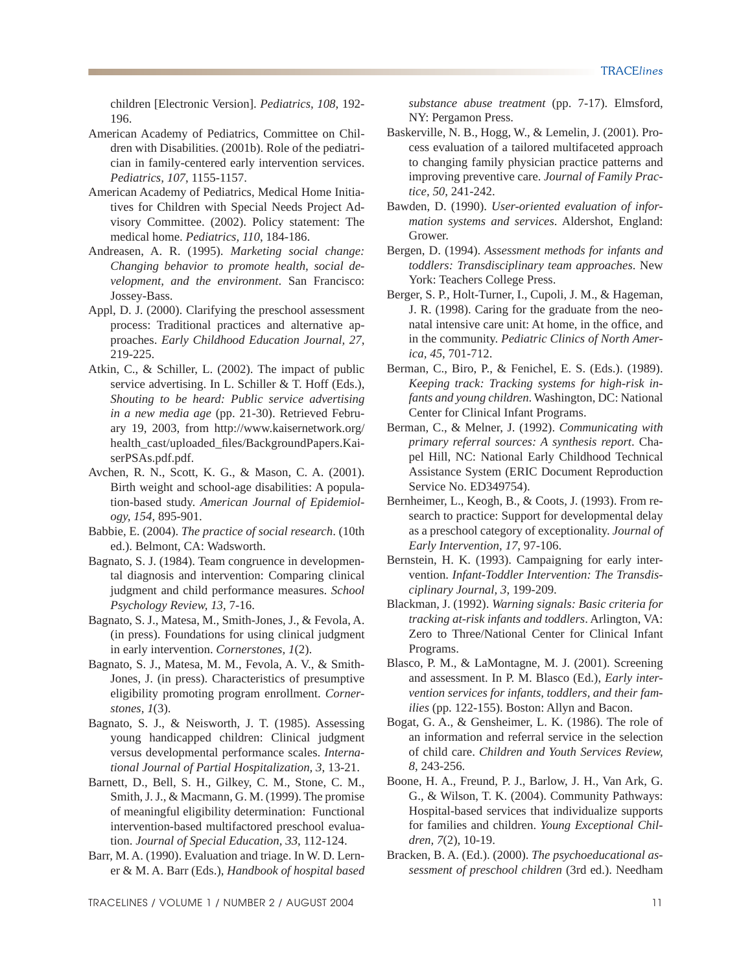children [Electronic Version]. *Pediatrics, 108*, 192- 196.

- American Academy of Pediatrics, Committee on Children with Disabilities. (2001b). Role of the pediatrician in family-centered early intervention services. *Pediatrics, 107*, 1155-1157.
- American Academy of Pediatrics, Medical Home Initiatives for Children with Special Needs Project Advisory Committee. (2002). Policy statement: The medical home. *Pediatrics, 110*, 184-186.
- Andreasen, A. R. (1995). *Marketing social change: Changing behavior to promote health, social development, and the environment*. San Francisco: Jossey-Bass.
- Appl, D. J. (2000). Clarifying the preschool assessment process: Traditional practices and alternative approaches. *Early Childhood Education Journal, 27*, 219-225.
- Atkin, C., & Schiller, L. (2002). The impact of public service advertising. In L. Schiller & T. Hoff (Eds.), *Shouting to be heard: Public service advertising in a new media age* (pp. 21-30). Retrieved February 19, 2003, from http://www.kaisernetwork.org/ health\_cast/uploaded\_fi les/BackgroundPapers.KaiserPSAs.pdf.pdf.
- Avchen, R. N., Scott, K. G., & Mason, C. A. (2001). Birth weight and school-age disabilities: A population-based study. *American Journal of Epidemiology, 154*, 895-901.
- Babbie, E. (2004). *The practice of social research*. (10th ed.). Belmont, CA: Wadsworth.
- Bagnato, S. J. (1984). Team congruence in developmental diagnosis and intervention: Comparing clinical judgment and child performance measures. *School Psychology Review, 13*, 7-16.
- Bagnato, S. J., Matesa, M., Smith-Jones, J., & Fevola, A. (in press). Foundations for using clinical judgment in early intervention. *Cornerstones, 1*(2).
- Bagnato, S. J., Matesa, M. M., Fevola, A. V., & Smith-Jones, J. (in press). Characteristics of presumptive eligibility promoting program enrollment. *Cornerstones, 1*(3).
- Bagnato, S. J., & Neisworth, J. T. (1985). Assessing young handicapped children: Clinical judgment versus developmental performance scales. *International Journal of Partial Hospitalization, 3*, 13-21.
- Barnett, D., Bell, S. H., Gilkey, C. M., Stone, C. M., Smith, J. J., & Macmann, G. M. (1999). The promise of meaningful eligibility determination: Functional intervention-based multifactored preschool evaluation. *Journal of Special Education, 33*, 112-124.
- Barr, M. A. (1990). Evaluation and triage. In W. D. Lerner & M. A. Barr (Eds.), *Handbook of hospital based*

TRACELINES / VOLUME 1 / NUMBER 2 / AUGUST 2004 11

*substance abuse treatment* (pp. 7-17). Elmsford, NY: Pergamon Press.

- Baskerville, N. B., Hogg, W., & Lemelin, J. (2001). Process evaluation of a tailored multifaceted approach to changing family physician practice patterns and improving preventive care. *Journal of Family Practice, 50*, 241-242.
- Bawden, D. (1990). *User-oriented evaluation of information systems and services*. Aldershot, England: Grower.
- Bergen, D. (1994). *Assessment methods for infants and toddlers: Transdisciplinary team approaches*. New York: Teachers College Press.
- Berger, S. P., Holt-Turner, I., Cupoli, J. M., & Hageman, J. R. (1998). Caring for the graduate from the neonatal intensive care unit: At home, in the office, and in the community. *Pediatric Clinics of North America, 45*, 701-712.
- Berman, C., Biro, P., & Fenichel, E. S. (Eds.). (1989). *Keeping track: Tracking systems for high-risk infants and young children*. Washington, DC: National Center for Clinical Infant Programs.
- Berman, C., & Melner, J. (1992). *Communicating with primary referral sources: A synthesis report*. Chapel Hill, NC: National Early Childhood Technical Assistance System (ERIC Document Reproduction Service No. ED349754).
- Bernheimer, L., Keogh, B., & Coots, J. (1993). From research to practice: Support for developmental delay as a preschool category of exceptionality. *Journal of Early Intervention, 17*, 97-106.
- Bernstein, H. K. (1993). Campaigning for early intervention. *Infant-Toddler Intervention: The Transdisciplinary Journal, 3*, 199-209.
- Blackman, J. (1992). *Warning signals: Basic criteria for tracking at-risk infants and toddlers*. Arlington, VA: Zero to Three/National Center for Clinical Infant Programs.
- Blasco, P. M., & LaMontagne, M. J. (2001). Screening and assessment. In P. M. Blasco (Ed.), *Early intervention services for infants, toddlers, and their families* (pp. 122-155). Boston: Allyn and Bacon.
- Bogat, G. A., & Gensheimer, L. K. (1986). The role of an information and referral service in the selection of child care. *Children and Youth Services Review, 8*, 243-256.
- Boone, H. A., Freund, P. J., Barlow, J. H., Van Ark, G. G., & Wilson, T. K. (2004). Community Pathways: Hospital-based services that individualize supports for families and children. *Young Exceptional Children, 7*(2), 10-19.
- Bracken, B. A. (Ed.). (2000). *The psychoeducational assessment of preschool children* (3rd ed.). Needham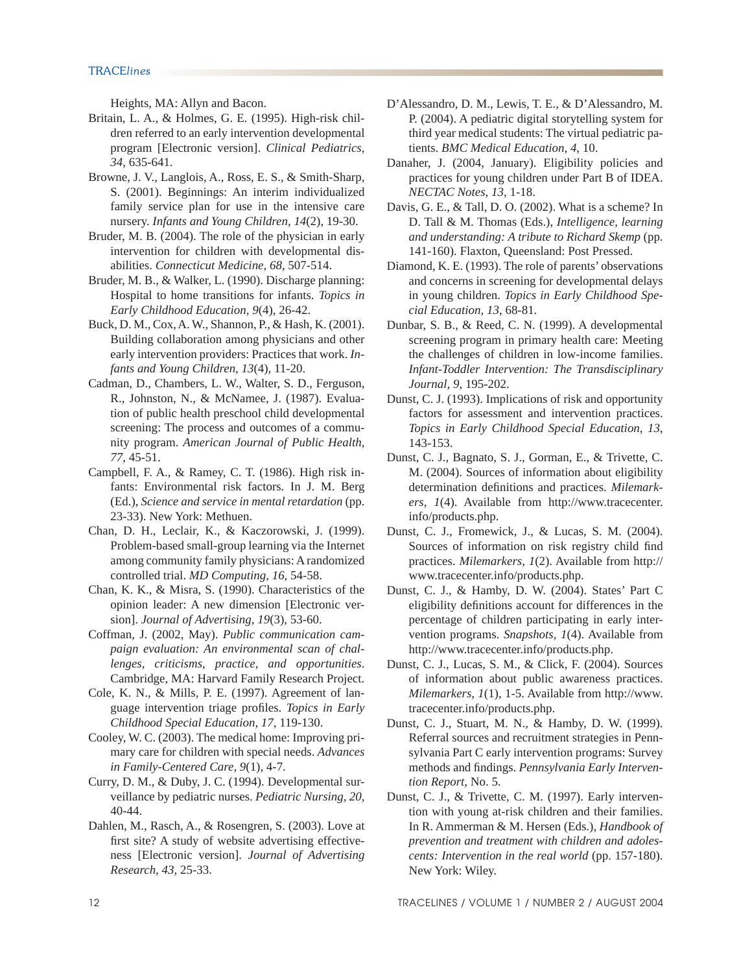Heights, MA: Allyn and Bacon.

- Britain, L. A., & Holmes, G. E. (1995). High-risk children referred to an early intervention developmental program [Electronic version]. *Clinical Pediatrics, 34*, 635-641.
- Browne, J. V., Langlois, A., Ross, E. S., & Smith-Sharp, S. (2001). Beginnings: An interim individualized family service plan for use in the intensive care nursery. *Infants and Young Children, 14*(2), 19-30.
- Bruder, M. B. (2004). The role of the physician in early intervention for children with developmental disabilities. *Connecticut Medicine, 68*, 507-514.
- Bruder, M. B., & Walker, L. (1990). Discharge planning: Hospital to home transitions for infants. *Topics in Early Childhood Education, 9*(4), 26-42.
- Buck, D. M., Cox, A. W., Shannon, P., & Hash, K. (2001). Building collaboration among physicians and other early intervention providers: Practices that work. *Infants and Young Children, 13*(4), 11-20.
- Cadman, D., Chambers, L. W., Walter, S. D., Ferguson, R., Johnston, N., & McNamee, J. (1987). Evaluation of public health preschool child developmental screening: The process and outcomes of a community program. *American Journal of Public Health, 77*, 45-51.
- Campbell, F. A., & Ramey, C. T. (1986). High risk infants: Environmental risk factors. In J. M. Berg (Ed.), *Science and service in mental retardation* (pp. 23-33). New York: Methuen.
- Chan, D. H., Leclair, K., & Kaczorowski, J. (1999). Problem-based small-group learning via the Internet among community family physicians: A randomized controlled trial. *MD Computing, 16*, 54-58.
- Chan, K. K., & Misra, S. (1990). Characteristics of the opinion leader: A new dimension [Electronic version]. *Journal of Advertising, 19*(3), 53-60.
- Coffman, J. (2002, May). *Public communication campaign evaluation: An environmental scan of challenges, criticisms, practice, and opportunities*. Cambridge, MA: Harvard Family Research Project.
- Cole, K. N., & Mills, P. E. (1997). Agreement of language intervention triage profiles. *Topics in Early Childhood Special Education, 17*, 119-130.
- Cooley, W. C. (2003). The medical home: Improving primary care for children with special needs. *Advances in Family-Centered Care, 9*(1), 4-7.
- Curry, D. M., & Duby, J. C. (1994). Developmental surveillance by pediatric nurses. *Pediatric Nursing, 20*, 40-44.
- Dahlen, M., Rasch, A., & Rosengren, S. (2003). Love at first site? A study of website advertising effectiveness [Electronic version]. *Journal of Advertising Research, 43*, 25-33.
- D'Alessandro, D. M., Lewis, T. E., & D'Alessandro, M. P. (2004). A pediatric digital storytelling system for third year medical students: The virtual pediatric patients. *BMC Medical Education, 4*, 10.
- Danaher, J. (2004, January). Eligibility policies and practices for young children under Part B of IDEA. *NECTAC Notes, 13*, 1-18.
- Davis, G. E., & Tall, D. O. (2002). What is a scheme? In D. Tall & M. Thomas (Eds.), *Intelligence, learning and understanding: A tribute to Richard Skemp* (pp. 141-160). Flaxton, Queensland: Post Pressed.
- Diamond, K. E. (1993). The role of parents' observations and concerns in screening for developmental delays in young children. *Topics in Early Childhood Special Education, 13*, 68-81.
- Dunbar, S. B., & Reed, C. N. (1999). A developmental screening program in primary health care: Meeting the challenges of children in low-income families. *Infant-Toddler Intervention: The Transdisciplinary Journal, 9*, 195-202.
- Dunst, C. J. (1993). Implications of risk and opportunity factors for assessment and intervention practices. *Topics in Early Childhood Special Education, 13*, 143-153.
- Dunst, C. J., Bagnato, S. J., Gorman, E., & Trivette, C. M. (2004). Sources of information about eligibility determination definitions and practices. Milemark*ers, 1*(4). Available from http://www.tracecenter. info/products.php.
- Dunst, C. J., Fromewick, J., & Lucas, S. M. (2004). Sources of information on risk registry child find practices. *Milemarkers, 1*(2). Available from http:// www.tracecenter.info/products.php.
- Dunst, C. J., & Hamby, D. W. (2004). States' Part C eligibility definitions account for differences in the percentage of children participating in early intervention programs. *Snapshots, 1*(4). Available from http://www.tracecenter.info/products.php.
- Dunst, C. J., Lucas, S. M., & Click, F. (2004). Sources of information about public awareness practices. *Milemarkers, 1*(1), 1-5. Available from http://www. tracecenter.info/products.php.
- Dunst, C. J., Stuart, M. N., & Hamby, D. W. (1999). Referral sources and recruitment strategies in Pennsylvania Part C early intervention programs: Survey methods and findings. Pennsylvania Early Interven*tion Report*, No. 5.
- Dunst, C. J., & Trivette, C. M. (1997). Early intervention with young at-risk children and their families. In R. Ammerman & M. Hersen (Eds.), *Handbook of prevention and treatment with children and adolescents: Intervention in the real world* (pp. 157-180). New York: Wiley.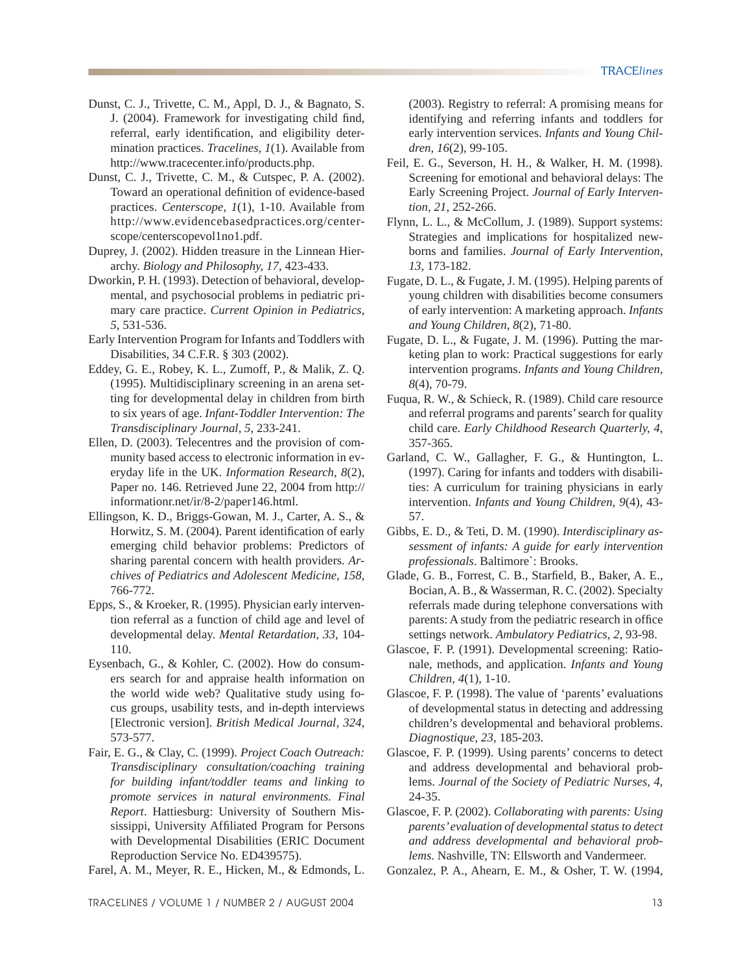- Dunst, C. J., Trivette, C. M., Appl, D. J., & Bagnato, S. J. (2004). Framework for investigating child find, referral, early identification, and eligibility determination practices. *Tracelines, 1*(1). Available from http://www.tracecenter.info/products.php.
- Dunst, C. J., Trivette, C. M., & Cutspec, P. A. (2002). Toward an operational definition of evidence-based practices. *Centerscope, 1*(1), 1-10. Available from http://www.evidencebasedpractices.org/centerscope/centerscopevol1no1.pdf.
- Duprey, J. (2002). Hidden treasure in the Linnean Hierarchy. *Biology and Philosophy, 17*, 423-433.
- Dworkin, P. H. (1993). Detection of behavioral, developmental, and psychosocial problems in pediatric primary care practice. *Current Opinion in Pediatrics, 5*, 531-536.
- Early Intervention Program for Infants and Toddlers with Disabilities, 34 C.F.R. § 303 (2002).
- Eddey, G. E., Robey, K. L., Zumoff, P., & Malik, Z. Q. (1995). Multidisciplinary screening in an arena setting for developmental delay in children from birth to six years of age. *Infant-Toddler Intervention: The Transdisciplinary Journal, 5*, 233-241.
- Ellen, D. (2003). Telecentres and the provision of community based access to electronic information in everyday life in the UK. *Information Research, 8*(2), Paper no. 146. Retrieved June 22, 2004 from http:// informationr.net/ir/8-2/paper146.html.
- Ellingson, K. D., Briggs-Gowan, M. J., Carter, A. S., & Horwitz, S. M. (2004). Parent identification of early emerging child behavior problems: Predictors of sharing parental concern with health providers. *Archives of Pediatrics and Adolescent Medicine, 158*, 766-772.
- Epps, S., & Kroeker, R. (1995). Physician early intervention referral as a function of child age and level of developmental delay. *Mental Retardation, 33*, 104- 110.
- Eysenbach, G., & Kohler, C. (2002). How do consumers search for and appraise health information on the world wide web? Qualitative study using focus groups, usability tests, and in-depth interviews [Electronic version]. *British Medical Journal, 324*, 573-577.
- Fair, E. G., & Clay, C. (1999). *Project Coach Outreach: Transdisciplinary consultation/coaching training for building infant/toddler teams and linking to promote services in natural environments. Final Report*. Hattiesburg: University of Southern Mississippi, University Affiliated Program for Persons with Developmental Disabilities (ERIC Document Reproduction Service No. ED439575).

Farel, A. M., Meyer, R. E., Hicken, M., & Edmonds, L.

(2003). Registry to referral: A promising means for identifying and referring infants and toddlers for early intervention services. *Infants and Young Children, 16*(2), 99-105.

- Feil, E. G., Severson, H. H., & Walker, H. M. (1998). Screening for emotional and behavioral delays: The Early Screening Project. *Journal of Early Intervention, 21*, 252-266.
- Flynn, L. L., & McCollum, J. (1989). Support systems: Strategies and implications for hospitalized newborns and families. *Journal of Early Intervention, 13*, 173-182.
- Fugate, D. L., & Fugate, J. M. (1995). Helping parents of young children with disabilities become consumers of early intervention: A marketing approach. *Infants and Young Children, 8*(2), 71-80.
- Fugate, D. L., & Fugate, J. M. (1996). Putting the marketing plan to work: Practical suggestions for early intervention programs. *Infants and Young Children, 8*(4), 70-79.
- Fuqua, R. W., & Schieck, R. (1989). Child care resource and referral programs and parents' search for quality child care. *Early Childhood Research Quarterly, 4*, 357-365.
- Garland, C. W., Gallagher, F. G., & Huntington, L. (1997). Caring for infants and todders with disabilities: A curriculum for training physicians in early intervention. *Infants and Young Children, 9*(4), 43- 57.
- Gibbs, E. D., & Teti, D. M. (1990). *Interdisciplinary assessment of infants: A guide for early intervention professionals*. Baltimore`: Brooks.
- Glade, G. B., Forrest, C. B., Starfield, B., Baker, A. E., Bocian, A. B., & Wasserman, R. C. (2002). Specialty referrals made during telephone conversations with parents: A study from the pediatric research in office settings network. *Ambulatory Pediatrics, 2*, 93-98.
- Glascoe, F. P. (1991). Developmental screening: Rationale, methods, and application. *Infants and Young Children, 4*(1), 1-10.
- Glascoe, F. P. (1998). The value of 'parents' evaluations of developmental status in detecting and addressing children's developmental and behavioral problems. *Diagnostique, 23*, 185-203.
- Glascoe, F. P. (1999). Using parents' concerns to detect and address developmental and behavioral problems. *Journal of the Society of Pediatric Nurses, 4*, 24-35.
- Glascoe, F. P. (2002). *Collaborating with parents: Using parents' evaluation of developmental status to detect and address developmental and behavioral problems*. Nashville, TN: Ellsworth and Vandermeer.
- Gonzalez, P. A., Ahearn, E. M., & Osher, T. W. (1994,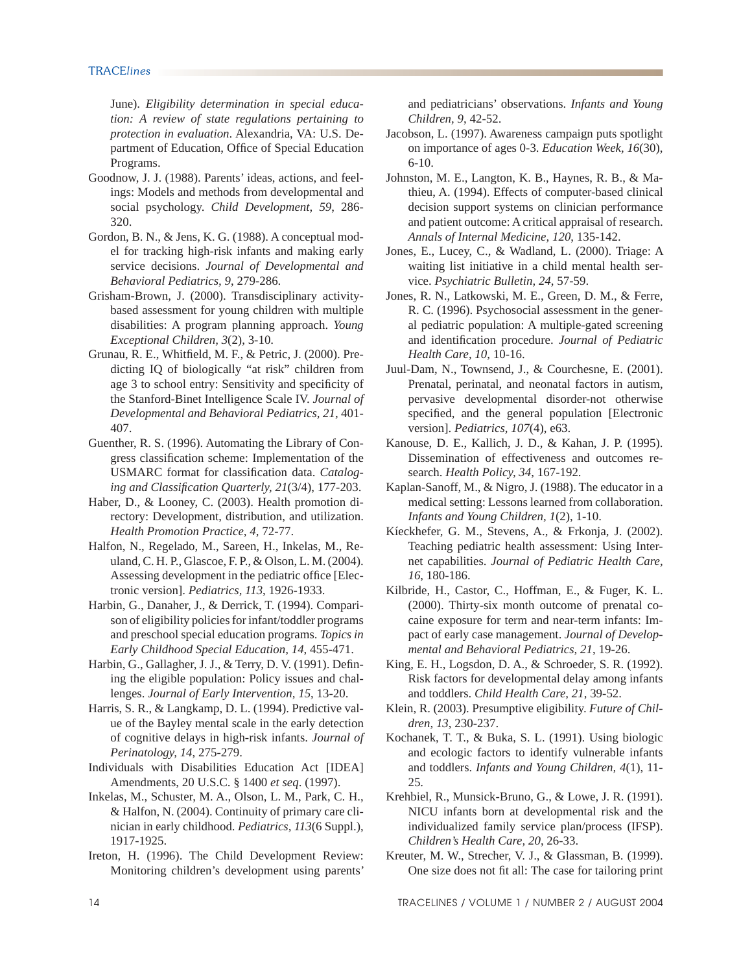June). *Eligibility determination in special education: A review of state regulations pertaining to protection in evaluation*. Alexandria, VA: U.S. Department of Education, Office of Special Education Programs.

- Goodnow, J. J. (1988). Parents' ideas, actions, and feelings: Models and methods from developmental and social psychology. *Child Development, 59*, 286- 320.
- Gordon, B. N., & Jens, K. G. (1988). A conceptual model for tracking high-risk infants and making early service decisions. *Journal of Developmental and Behavioral Pediatrics, 9*, 279-286.
- Grisham-Brown, J. (2000). Transdisciplinary activitybased assessment for young children with multiple disabilities: A program planning approach. *Young Exceptional Children, 3*(2), 3-10.
- Grunau, R. E., Whitfield, M. F., & Petric, J. (2000). Predicting IQ of biologically "at risk" children from age 3 to school entry: Sensitivity and specificity of the Stanford-Binet Intelligence Scale IV. *Journal of Developmental and Behavioral Pediatrics, 21*, 401- 407.
- Guenther, R. S. (1996). Automating the Library of Congress classification scheme: Implementation of the USMARC format for classification data. *Cataloging and Classifi cation Quarterly, 21*(3/4), 177-203.
- Haber, D., & Looney, C. (2003). Health promotion directory: Development, distribution, and utilization. *Health Promotion Practice, 4*, 72-77.
- Halfon, N., Regelado, M., Sareen, H., Inkelas, M., Reuland, C. H. P., Glascoe, F. P., & Olson, L. M. (2004). Assessing development in the pediatric office [Electronic version]. *Pediatrics, 113*, 1926-1933.
- Harbin, G., Danaher, J., & Derrick, T. (1994). Comparison of eligibility policies for infant/toddler programs and preschool special education programs. *Topics in Early Childhood Special Education, 14*, 455-471.
- Harbin, G., Gallagher, J. J., & Terry, D. V. (1991). Defining the eligible population: Policy issues and challenges. *Journal of Early Intervention, 15*, 13-20.
- Harris, S. R., & Langkamp, D. L. (1994). Predictive value of the Bayley mental scale in the early detection of cognitive delays in high-risk infants. *Journal of Perinatology, 14*, 275-279.
- Individuals with Disabilities Education Act [IDEA] Amendments, 20 U.S.C. § 1400 *et seq*. (1997).
- Inkelas, M., Schuster, M. A., Olson, L. M., Park, C. H., & Halfon, N. (2004). Continuity of primary care clinician in early childhood. *Pediatrics, 113*(6 Suppl.), 1917-1925.
- Ireton, H. (1996). The Child Development Review: Monitoring children's development using parents'

and pediatricians' observations. *Infants and Young Children, 9*, 42-52.

- Jacobson, L. (1997). Awareness campaign puts spotlight on importance of ages 0-3. *Education Week, 16*(30), 6-10.
- Johnston, M. E., Langton, K. B., Haynes, R. B., & Mathieu, A. (1994). Effects of computer-based clinical decision support systems on clinician performance and patient outcome: A critical appraisal of research. *Annals of Internal Medicine, 120*, 135-142.
- Jones, E., Lucey, C., & Wadland, L. (2000). Triage: A waiting list initiative in a child mental health service. *Psychiatric Bulletin, 24*, 57-59.
- Jones, R. N., Latkowski, M. E., Green, D. M., & Ferre, R. C. (1996). Psychosocial assessment in the general pediatric population: A multiple-gated screening and identification procedure. *Journal of Pediatric Health Care, 10*, 10-16.
- Juul-Dam, N., Townsend, J., & Courchesne, E. (2001). Prenatal, perinatal, and neonatal factors in autism, pervasive developmental disorder-not otherwise specified, and the general population [Electronic version]. *Pediatrics, 107*(4), e63.
- Kanouse, D. E., Kallich, J. D., & Kahan, J. P. (1995). Dissemination of effectiveness and outcomes research. *Health Policy, 34*, 167-192.
- Kaplan-Sanoff, M., & Nigro, J. (1988). The educator in a medical setting: Lessons learned from collaboration. *Infants and Young Children, 1*(2), 1-10.
- Kíeckhefer, G. M., Stevens, A., & Frkonja, J. (2002). Teaching pediatric health assessment: Using Internet capabilities. *Journal of Pediatric Health Care, 16*, 180-186.
- Kilbride, H., Castor, C., Hoffman, E., & Fuger, K. L. (2000). Thirty-six month outcome of prenatal cocaine exposure for term and near-term infants: Impact of early case management. *Journal of Developmental and Behavioral Pediatrics, 21*, 19-26.
- King, E. H., Logsdon, D. A., & Schroeder, S. R. (1992). Risk factors for developmental delay among infants and toddlers. *Child Health Care, 21*, 39-52.
- Klein, R. (2003). Presumptive eligibility. *Future of Children, 13*, 230-237.
- Kochanek, T. T., & Buka, S. L. (1991). Using biologic and ecologic factors to identify vulnerable infants and toddlers. *Infants and Young Children, 4*(1), 11- 25.
- Krehbiel, R., Munsick-Bruno, G., & Lowe, J. R. (1991). NICU infants born at developmental risk and the individualized family service plan/process (IFSP). *Children's Health Care, 20*, 26-33.
- Kreuter, M. W., Strecher, V. J., & Glassman, B. (1999). One size does not fit all: The case for tailoring print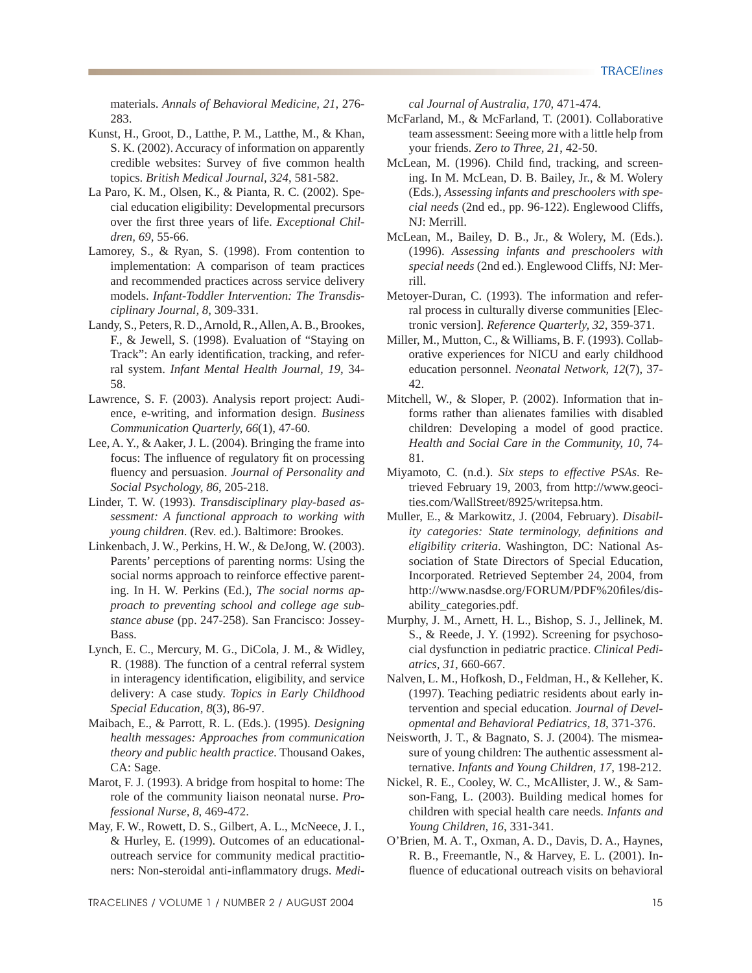materials. *Annals of Behavioral Medicine, 21*, 276- 283.

- Kunst, H., Groot, D., Latthe, P. M., Latthe, M., & Khan, S. K. (2002). Accuracy of information on apparently credible websites: Survey of five common health topics. *British Medical Journal, 324*, 581-582.
- La Paro, K. M., Olsen, K., & Pianta, R. C. (2002). Special education eligibility: Developmental precursors over the first three years of life. *Exceptional Children, 69*, 55-66.
- Lamorey, S., & Ryan, S. (1998). From contention to implementation: A comparison of team practices and recommended practices across service delivery models. *Infant-Toddler Intervention: The Transdisciplinary Journal, 8*, 309-331.
- Landy, S., Peters, R. D., Arnold, R., Allen, A. B., Brookes, F., & Jewell, S. (1998). Evaluation of "Staying on Track": An early identification, tracking, and referral system. *Infant Mental Health Journal, 19*, 34- 58.
- Lawrence, S. F. (2003). Analysis report project: Audience, e-writing, and information design. *Business Communication Quarterly, 66*(1), 47-60.
- Lee, A. Y., & Aaker, J. L. (2004). Bringing the frame into focus: The influence of regulatory fit on processing fluency and persuasion. *Journal of Personality and Social Psychology, 86*, 205-218.
- Linder, T. W. (1993). *Transdisciplinary play-based assessment: A functional approach to working with young children*. (Rev. ed.). Baltimore: Brookes.
- Linkenbach, J. W., Perkins, H. W., & DeJong, W. (2003). Parents' perceptions of parenting norms: Using the social norms approach to reinforce effective parenting. In H. W. Perkins (Ed.), *The social norms approach to preventing school and college age substance abuse* (pp. 247-258). San Francisco: Jossey-Bass.
- Lynch, E. C., Mercury, M. G., DiCola, J. M., & Widley, R. (1988). The function of a central referral system in interagency identification, eligibility, and service delivery: A case study. *Topics in Early Childhood Special Education, 8*(3), 86-97.
- Maibach, E., & Parrott, R. L. (Eds.). (1995). *Designing health messages: Approaches from communication theory and public health practice*. Thousand Oakes, CA: Sage.
- Marot, F. J. (1993). A bridge from hospital to home: The role of the community liaison neonatal nurse. *Professional Nurse, 8*, 469-472.
- May, F. W., Rowett, D. S., Gilbert, A. L., McNeece, J. I., & Hurley, E. (1999). Outcomes of an educationaloutreach service for community medical practitioners: Non-steroidal anti-inflammatory drugs. Medi-

*cal Journal of Australia, 170*, 471-474.

- McFarland, M., & McFarland, T. (2001). Collaborative team assessment: Seeing more with a little help from your friends. *Zero to Three, 21*, 42-50.
- McLean, M. (1996). Child find, tracking, and screening. In M. McLean, D. B. Bailey, Jr., & M. Wolery (Eds.), *Assessing infants and preschoolers with special needs* (2nd ed., pp. 96-122). Englewood Cliffs, NJ: Merrill.
- McLean, M., Bailey, D. B., Jr., & Wolery, M. (Eds.). (1996). *Assessing infants and preschoolers with special needs* (2nd ed.). Englewood Cliffs, NJ: Merrill.
- Metoyer-Duran, C. (1993). The information and referral process in culturally diverse communities [Electronic version]. *Reference Quarterly, 32*, 359-371.
- Miller, M., Mutton, C., & Williams, B. F. (1993). Collaborative experiences for NICU and early childhood education personnel. *Neonatal Network, 12*(7), 37- 42.
- Mitchell, W., & Sloper, P. (2002). Information that informs rather than alienates families with disabled children: Developing a model of good practice. *Health and Social Care in the Community, 10*, 74- 81.
- Miyamoto, C. (n.d.). *Six steps to effective PSAs*. Retrieved February 19, 2003, from http://www.geocities.com/WallStreet/8925/writepsa.htm.
- Muller, E., & Markowitz, J. (2004, February). *Disability categories: State terminology, definitions and eligibility criteria*. Washington, DC: National Association of State Directors of Special Education, Incorporated. Retrieved September 24, 2004, from http://www.nasdse.org/FORUM/PDF%20files/disability\_categories.pdf.
- Murphy, J. M., Arnett, H. L., Bishop, S. J., Jellinek, M. S., & Reede, J. Y. (1992). Screening for psychosocial dysfunction in pediatric practice. *Clinical Pediatrics, 31*, 660-667.
- Nalven, L. M., Hofkosh, D., Feldman, H., & Kelleher, K. (1997). Teaching pediatric residents about early intervention and special education. *Journal of Developmental and Behavioral Pediatrics, 18*, 371-376.
- Neisworth, J. T., & Bagnato, S. J. (2004). The mismeasure of young children: The authentic assessment alternative. *Infants and Young Children, 17*, 198-212.
- Nickel, R. E., Cooley, W. C., McAllister, J. W., & Samson-Fang, L. (2003). Building medical homes for children with special health care needs. *Infants and Young Children, 16*, 331-341.
- O'Brien, M. A. T., Oxman, A. D., Davis, D. A., Haynes, R. B., Freemantle, N., & Harvey, E. L. (2001). Influence of educational outreach visits on behavioral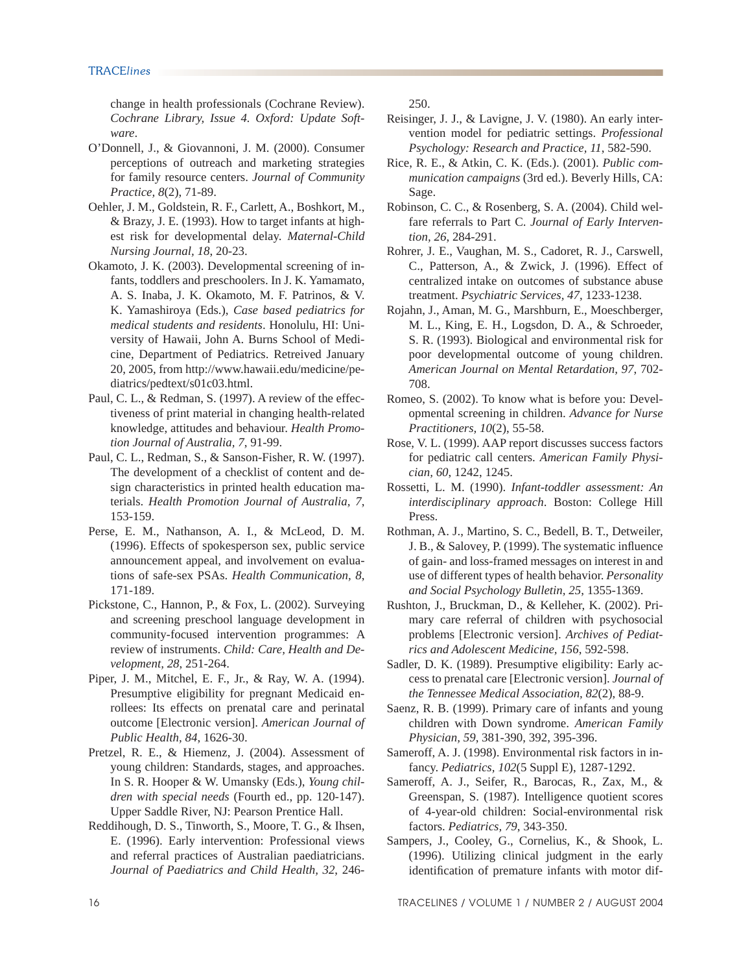change in health professionals (Cochrane Review). *Cochrane Library, Issue 4. Oxford: Update Software*.

- O'Donnell, J., & Giovannoni, J. M. (2000). Consumer perceptions of outreach and marketing strategies for family resource centers. *Journal of Community Practice, 8*(2), 71-89.
- Oehler, J. M., Goldstein, R. F., Carlett, A., Boshkort, M., & Brazy, J. E. (1993). How to target infants at highest risk for developmental delay. *Maternal-Child Nursing Journal, 18*, 20-23.
- Okamoto, J. K. (2003). Developmental screening of infants, toddlers and preschoolers. In J. K. Yamamato, A. S. Inaba, J. K. Okamoto, M. F. Patrinos, & V. K. Yamashiroya (Eds.), *Case based pediatrics for medical students and residents*. Honolulu, HI: University of Hawaii, John A. Burns School of Medicine, Department of Pediatrics. Retreived January 20, 2005, from http://www.hawaii.edu/medicine/pediatrics/pedtext/s01c03.html.
- Paul, C. L., & Redman, S. (1997). A review of the effectiveness of print material in changing health-related knowledge, attitudes and behaviour. *Health Promotion Journal of Australia, 7*, 91-99.
- Paul, C. L., Redman, S., & Sanson-Fisher, R. W. (1997). The development of a checklist of content and design characteristics in printed health education materials. *Health Promotion Journal of Australia, 7*, 153-159.
- Perse, E. M., Nathanson, A. I., & McLeod, D. M. (1996). Effects of spokesperson sex, public service announcement appeal, and involvement on evaluations of safe-sex PSAs. *Health Communication, 8*, 171-189.
- Pickstone, C., Hannon, P., & Fox, L. (2002). Surveying and screening preschool language development in community-focused intervention programmes: A review of instruments. *Child: Care, Health and Development, 28*, 251-264.
- Piper, J. M., Mitchel, E. F., Jr., & Ray, W. A. (1994). Presumptive eligibility for pregnant Medicaid enrollees: Its effects on prenatal care and perinatal outcome [Electronic version]. *American Journal of Public Health, 84*, 1626-30.
- Pretzel, R. E., & Hiemenz, J. (2004). Assessment of young children: Standards, stages, and approaches. In S. R. Hooper & W. Umansky (Eds.), *Young children with special needs* (Fourth ed., pp. 120-147). Upper Saddle River, NJ: Pearson Prentice Hall.
- Reddihough, D. S., Tinworth, S., Moore, T. G., & Ihsen, E. (1996). Early intervention: Professional views and referral practices of Australian paediatricians. *Journal of Paediatrics and Child Health, 32*, 246-

250.

- Reisinger, J. J., & Lavigne, J. V. (1980). An early intervention model for pediatric settings. *Professional Psychology: Research and Practice, 11*, 582-590.
- Rice, R. E., & Atkin, C. K. (Eds.). (2001). *Public communication campaigns* (3rd ed.). Beverly Hills, CA: Sage.
- Robinson, C. C., & Rosenberg, S. A. (2004). Child welfare referrals to Part C. *Journal of Early Intervention, 26*, 284-291.
- Rohrer, J. E., Vaughan, M. S., Cadoret, R. J., Carswell, C., Patterson, A., & Zwick, J. (1996). Effect of centralized intake on outcomes of substance abuse treatment. *Psychiatric Services, 47*, 1233-1238.
- Rojahn, J., Aman, M. G., Marshburn, E., Moeschberger, M. L., King, E. H., Logsdon, D. A., & Schroeder, S. R. (1993). Biological and environmental risk for poor developmental outcome of young children. *American Journal on Mental Retardation, 97*, 702- 708.
- Romeo, S. (2002). To know what is before you: Developmental screening in children. *Advance for Nurse Practitioners, 10*(2), 55-58.
- Rose, V. L. (1999). AAP report discusses success factors for pediatric call centers. *American Family Physician, 60*, 1242, 1245.
- Rossetti, L. M. (1990). *Infant-toddler assessment: An interdisciplinary approach*. Boston: College Hill Press.
- Rothman, A. J., Martino, S. C., Bedell, B. T., Detweiler, J. B., & Salovey, P. (1999). The systematic influence of gain- and loss-framed messages on interest in and use of different types of health behavior. *Personality and Social Psychology Bulletin, 25*, 1355-1369.
- Rushton, J., Bruckman, D., & Kelleher, K. (2002). Primary care referral of children with psychosocial problems [Electronic version]. *Archives of Pediatrics and Adolescent Medicine, 156*, 592-598.
- Sadler, D. K. (1989). Presumptive eligibility: Early access to prenatal care [Electronic version]. *Journal of the Tennessee Medical Association, 82*(2), 88-9.
- Saenz, R. B. (1999). Primary care of infants and young children with Down syndrome. *American Family Physician, 59*, 381-390, 392, 395-396.
- Sameroff, A. J. (1998). Environmental risk factors in infancy. *Pediatrics, 102*(5 Suppl E), 1287-1292.
- Sameroff, A. J., Seifer, R., Barocas, R., Zax, M., & Greenspan, S. (1987). Intelligence quotient scores of 4-year-old children: Social-environmental risk factors. *Pediatrics, 79*, 343-350.
- Sampers, J., Cooley, G., Cornelius, K., & Shook, L. (1996). Utilizing clinical judgment in the early identification of premature infants with motor dif-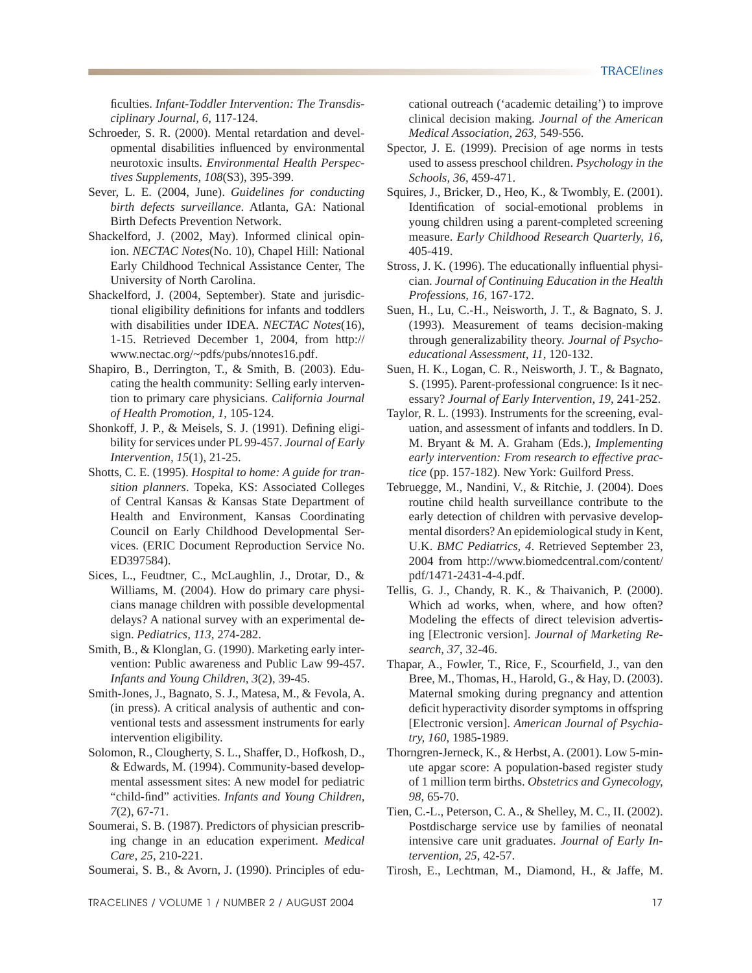ficulties. *Infant-Toddler Intervention: The Transdisciplinary Journal, 6*, 117-124.

- Schroeder, S. R. (2000). Mental retardation and developmental disabilities influenced by environmental neurotoxic insults. *Environmental Health Perspectives Supplements, 108*(S3), 395-399.
- Sever, L. E. (2004, June). *Guidelines for conducting birth defects surveillance*. Atlanta, GA: National Birth Defects Prevention Network.
- Shackelford, J. (2002, May). Informed clinical opinion. *NECTAC Notes*(No. 10), Chapel Hill: National Early Childhood Technical Assistance Center, The University of North Carolina.
- Shackelford, J. (2004, September). State and jurisdictional eligibility definitions for infants and toddlers with disabilities under IDEA. *NECTAC Notes*(16), 1-15. Retrieved December 1, 2004, from http:// www.nectac.org/~pdfs/pubs/nnotes16.pdf.
- Shapiro, B., Derrington, T., & Smith, B. (2003). Educating the health community: Selling early intervention to primary care physicians. *California Journal of Health Promotion, 1*, 105-124.
- Shonkoff, J. P., & Meisels, S. J. (1991). Defining eligibility for services under PL 99-457. *Journal of Early Intervention, 15*(1), 21-25.
- Shotts, C. E. (1995). *Hospital to home: A guide for transition planners*. Topeka, KS: Associated Colleges of Central Kansas & Kansas State Department of Health and Environment, Kansas Coordinating Council on Early Childhood Developmental Services. (ERIC Document Reproduction Service No. ED397584).
- Sices, L., Feudtner, C., McLaughlin, J., Drotar, D., & Williams, M. (2004). How do primary care physicians manage children with possible developmental delays? A national survey with an experimental design. *Pediatrics, 113*, 274-282.
- Smith, B., & Klonglan, G. (1990). Marketing early intervention: Public awareness and Public Law 99-457. *Infants and Young Children, 3*(2), 39-45.
- Smith-Jones, J., Bagnato, S. J., Matesa, M., & Fevola, A. (in press). A critical analysis of authentic and conventional tests and assessment instruments for early intervention eligibility.
- Solomon, R., Clougherty, S. L., Shaffer, D., Hofkosh, D., & Edwards, M. (1994). Community-based developmental assessment sites: A new model for pediatric "child-find" activities. *Infants and Young Children*, *7*(2), 67-71.
- Soumerai, S. B. (1987). Predictors of physician prescribing change in an education experiment. *Medical Care, 25*, 210-221.

Soumerai, S. B., & Avorn, J. (1990). Principles of edu-

cational outreach ('academic detailing') to improve clinical decision making. *Journal of the American Medical Association, 263*, 549-556.

- Spector, J. E. (1999). Precision of age norms in tests used to assess preschool children. *Psychology in the Schools, 36*, 459-471.
- Squires, J., Bricker, D., Heo, K., & Twombly, E. (2001). Identification of social-emotional problems in young children using a parent-completed screening measure. *Early Childhood Research Quarterly, 16*, 405-419.
- Stross, J. K. (1996). The educationally influential physician. *Journal of Continuing Education in the Health Professions, 16*, 167-172.
- Suen, H., Lu, C.-H., Neisworth, J. T., & Bagnato, S. J. (1993). Measurement of teams decision-making through generalizability theory. *Journal of Psychoeducational Assessment, 11*, 120-132.
- Suen, H. K., Logan, C. R., Neisworth, J. T., & Bagnato, S. (1995). Parent-professional congruence: Is it necessary? *Journal of Early Intervention, 19*, 241-252.
- Taylor, R. L. (1993). Instruments for the screening, evaluation, and assessment of infants and toddlers. In D. M. Bryant & M. A. Graham (Eds.), *Implementing early intervention: From research to effective practice* (pp. 157-182). New York: Guilford Press.
- Tebruegge, M., Nandini, V., & Ritchie, J. (2004). Does routine child health surveillance contribute to the early detection of children with pervasive developmental disorders? An epidemiological study in Kent, U.K. *BMC Pediatrics, 4*. Retrieved September 23, 2004 from http://www.biomedcentral.com/content/ pdf/1471-2431-4-4.pdf.
- Tellis, G. J., Chandy, R. K., & Thaivanich, P. (2000). Which ad works, when, where, and how often? Modeling the effects of direct television advertising [Electronic version]. *Journal of Marketing Research, 37*, 32-46.
- Thapar, A., Fowler, T., Rice, F., Scourfield, J., van den Bree, M., Thomas, H., Harold, G., & Hay, D. (2003). Maternal smoking during pregnancy and attention deficit hyperactivity disorder symptoms in offspring [Electronic version]. *American Journal of Psychiatry, 160*, 1985-1989.
- Thorngren-Jerneck, K., & Herbst, A. (2001). Low 5-minute apgar score: A population-based register study of 1 million term births. *Obstetrics and Gynecology, 98*, 65-70.
- Tien, C.-L., Peterson, C. A., & Shelley, M. C., II. (2002). Postdischarge service use by families of neonatal intensive care unit graduates. *Journal of Early Intervention, 25*, 42-57.
- Tirosh, E., Lechtman, M., Diamond, H., & Jaffe, M.